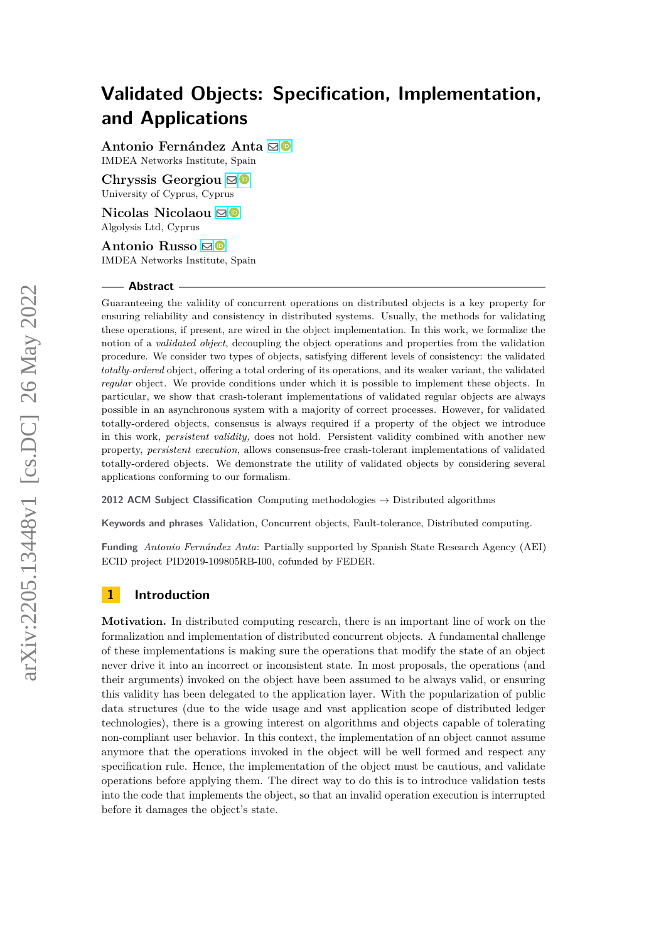**Antonio Fernández Anta** [!](mailto:antonio.fernandez@imdea.org)

IMDEA Networks Institute, Spain

Chryssis Georgiou **⊠** University of Cyprus, Cyprus

**Nicolas Nicolaou** ⊠<sup>®</sup> Algolysis Ltd, Cyprus

**Antonio Russo** [!](mailto:antonio@antoniorusso.me) IMDEA Networks Institute, Spain

#### **Abstract**

Guaranteeing the validity of concurrent operations on distributed objects is a key property for ensuring reliability and consistency in distributed systems. Usually, the methods for validating these operations, if present, are wired in the object implementation. In this work, we formalize the notion of a *validated object*, decoupling the object operations and properties from the validation procedure. We consider two types of objects, satisfying different levels of consistency: the validated *totally-ordered* object, offering a total ordering of its operations, and its weaker variant, the validated *regular* object. We provide conditions under which it is possible to implement these objects. In particular, we show that crash-tolerant implementations of validated regular objects are always possible in an asynchronous system with a majority of correct processes. However, for validated totally-ordered objects, consensus is always required if a property of the object we introduce in this work, *persistent validity,* does not hold. Persistent validity combined with another new property, *persistent execution*, allows consensus-free crash-tolerant implementations of validated totally-ordered objects. We demonstrate the utility of validated objects by considering several applications conforming to our formalism.

**2012 ACM Subject Classification** Computing methodologies → Distributed algorithms

**Keywords and phrases** Validation, Concurrent objects, Fault-tolerance, Distributed computing.

**Funding** *Antonio Fernández Anta*: Partially supported by Spanish State Research Agency (AEI) ECID project PID2019-109805RB-I00, cofunded by FEDER.

## **1 Introduction**

**Motivation.** In distributed computing research, there is an important line of work on the formalization and implementation of distributed concurrent objects. A fundamental challenge of these implementations is making sure the operations that modify the state of an object never drive it into an incorrect or inconsistent state. In most proposals, the operations (and their arguments) invoked on the object have been assumed to be always valid, or ensuring this validity has been delegated to the application layer. With the popularization of public data structures (due to the wide usage and vast application scope of distributed ledger technologies), there is a growing interest on algorithms and objects capable of tolerating non-compliant user behavior. In this context, the implementation of an object cannot assume anymore that the operations invoked in the object will be well formed and respect any specification rule. Hence, the implementation of the object must be cautious, and validate operations before applying them. The direct way to do this is to introduce validation tests into the code that implements the object, so that an invalid operation execution is interrupted before it damages the object's state.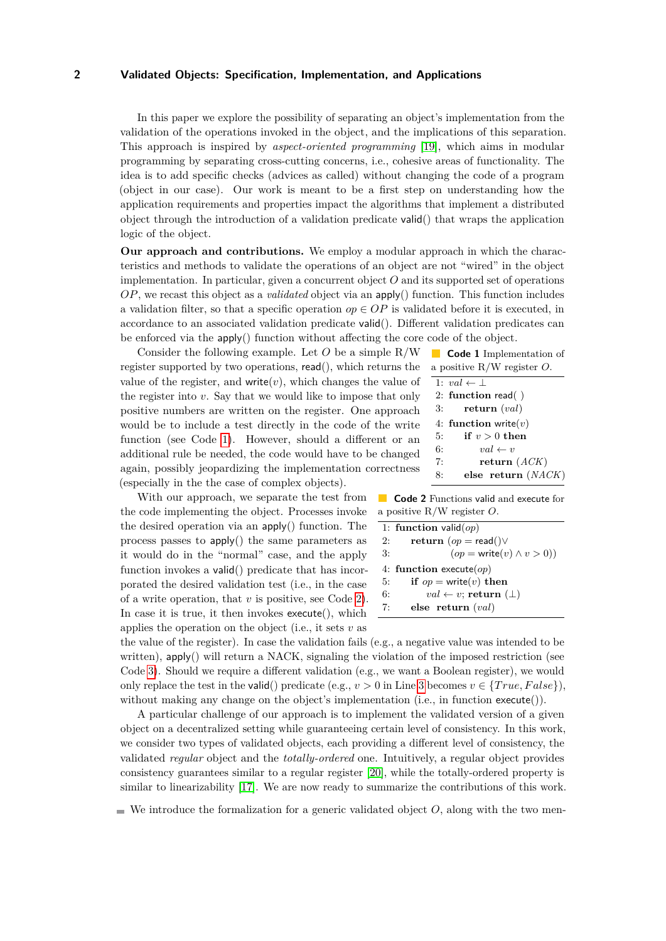In this paper we explore the possibility of separating an object's implementation from the validation of the operations invoked in the object, and the implications of this separation. This approach is inspired by *aspect-oriented programming* [\[19\]](#page-16-0), which aims in modular programming by separating cross-cutting concerns, i.e., cohesive areas of functionality. The idea is to add specific checks (advices as called) without changing the code of a program (object in our case). Our work is meant to be a first step on understanding how the application requirements and properties impact the algorithms that implement a distributed object through the introduction of a validation predicate valid() that wraps the application logic of the object.

**Our approach and contributions.** We employ a modular approach in which the characteristics and methods to validate the operations of an object are not "wired" in the object implementation. In particular, given a concurrent object *O* and its supported set of operations *OP*, we recast this object as a *validated* object via an apply() function. This function includes a validation filter, so that a specific operation  $op \in OP$  is validated before it is executed, in accordance to an associated validation predicate valid(). Different validation predicates can be enforced via the apply() function without affecting the core code of the object.

Consider the following example. Let *O* be a simple R/W register supported by two operations, read(), which returns the value of the register, and write $(v)$ , which changes the value of the register into *v*. Say that we would like to impose that only positive numbers are written on the register. One approach would be to include a test directly in the code of the write function (see Code [1\)](#page-1-0). However, should a different or an additional rule be needed, the code would have to be changed again, possibly jeopardizing the implementation correctness (especially in the the case of complex objects).

With our approach, we separate the test from the code implementing the object. Processes invoke the desired operation via an apply() function. The process passes to apply() the same parameters as it would do in the "normal" case, and the apply function invokes a valid() predicate that has incorporated the desired validation test (i.e., in the case of a write operation, that *v* is positive, see Code [2\)](#page-1-1). In case it is true, it then invokes execute(), which applies the operation on the object (i.e., it sets *v* as

<span id="page-1-0"></span>

| <b>Code 1</b> Implementation of<br><b>Service Service</b> |
|-----------------------------------------------------------|
| a positive $R/W$ register O.                              |
| 1: $val \leftarrow \perp$                                 |
| 2: function read()                                        |
| return $\left( val\right)$<br>3:                          |
| 4: function write $(v)$                                   |
| if $v > 0$ then<br>5:                                     |
| $val \leftarrow v$<br>6:                                  |
| return $(ACK)$<br>7.                                      |

8: **else return** (*NACK*)

<span id="page-1-1"></span>**Code 2** Functions valid and execute for a positive R/W register *O*.

|    | 1: function valid $(op)$              |
|----|---------------------------------------|
| 2: | return $(op = read() \vee$            |
| 3: | $(op = write(v) \land v > 0))$        |
|    | 4: function execute( $op$ )           |
| 5: | if $op = \text{write}(v)$ then        |
| 6: | $val \leftarrow v$ ; return $(\perp)$ |
| 7: | else return $(val)$                   |

the value of the register). In case the validation fails (e.g., a negative value was intended to be written),  $app(y)$  will return a NACK, signaling the violation of the imposed restriction (see Code [3\)](#page-3-0). Should we require a different validation (e.g., we want a Boolean register), we would only replace the test in the **valid**() predicate (e.g.,  $v > 0$  in Line [3](#page-1-1) becomes  $v \in \{True, False\}$ ), without making any change on the object's implementation (i.e., in function execute()).

A particular challenge of our approach is to implement the validated version of a given object on a decentralized setting while guaranteeing certain level of consistency. In this work, we consider two types of validated objects, each providing a different level of consistency, the validated *regular* object and the *totally-ordered* one. Intuitively, a regular object provides consistency guarantees similar to a regular register [\[20\]](#page-16-1), while the totally-ordered property is similar to linearizability [\[17\]](#page-16-2). We are now ready to summarize the contributions of this work.

 $\blacksquare$  We introduce the formalization for a generic validated object *O*, along with the two men-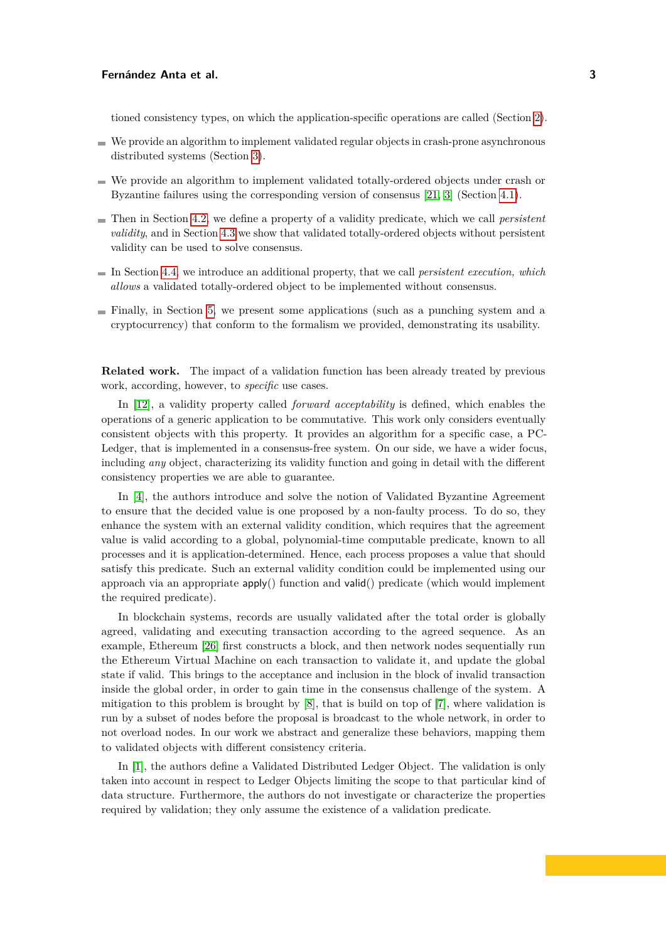tioned consistency types, on which the application-specific operations are called (Section [2\)](#page-3-1).

- We provide an algorithm to implement validated regular objects in crash-prone asynchronous distributed systems (Section [3\)](#page-4-0).
- We provide an algorithm to implement validated totally-ordered objects under crash or Byzantine failures using the corresponding version of consensus [\[21,](#page-16-3) [3\]](#page-15-0) (Section [4.1\)](#page-6-0).
- Then in Section [4.2,](#page-7-0) we define a property of a validity predicate, which we call *persistent validity*, and in Section [4.3](#page-8-0) we show that validated totally-ordered objects without persistent validity can be used to solve consensus.
- In Section [4.4,](#page-11-0) we introduce an additional property, that we call *persistent execution, which allows* a validated totally-ordered object to be implemented without consensus.
- Finally, in Section [5,](#page-12-0) we present some applications (such as a punching system and a cryptocurrency) that conform to the formalism we provided, demonstrating its usability.

**Related work.** The impact of a validation function has been already treated by previous work, according, however, to *specific* use cases.

In [\[12\]](#page-15-1), a validity property called *forward acceptability* is defined, which enables the operations of a generic application to be commutative. This work only considers eventually consistent objects with this property. It provides an algorithm for a specific case, a PC-Ledger, that is implemented in a consensus-free system. On our side, we have a wider focus, including *any* object, characterizing its validity function and going in detail with the different consistency properties we are able to guarantee.

In [\[4\]](#page-15-2), the authors introduce and solve the notion of Validated Byzantine Agreement to ensure that the decided value is one proposed by a non-faulty process. To do so, they enhance the system with an external validity condition, which requires that the agreement value is valid according to a global, polynomial-time computable predicate, known to all processes and it is application-determined. Hence, each process proposes a value that should satisfy this predicate. Such an external validity condition could be implemented using our approach via an appropriate apply() function and valid() predicate (which would implement the required predicate).

In blockchain systems, records are usually validated after the total order is globally agreed, validating and executing transaction according to the agreed sequence. As an example, Ethereum [\[26\]](#page-16-4) first constructs a block, and then network nodes sequentially run the Ethereum Virtual Machine on each transaction to validate it, and update the global state if valid. This brings to the acceptance and inclusion in the block of invalid transaction inside the global order, in order to gain time in the consensus challenge of the system. A mitigation to this problem is brought by [\[8\]](#page-15-3), that is build on top of [\[7\]](#page-15-4), where validation is run by a subset of nodes before the proposal is broadcast to the whole network, in order to not overload nodes. In our work we abstract and generalize these behaviors, mapping them to validated objects with different consistency criteria.

In [\[1\]](#page-15-5), the authors define a Validated Distributed Ledger Object. The validation is only taken into account in respect to Ledger Objects limiting the scope to that particular kind of data structure. Furthermore, the authors do not investigate or characterize the properties required by validation; they only assume the existence of a validation predicate.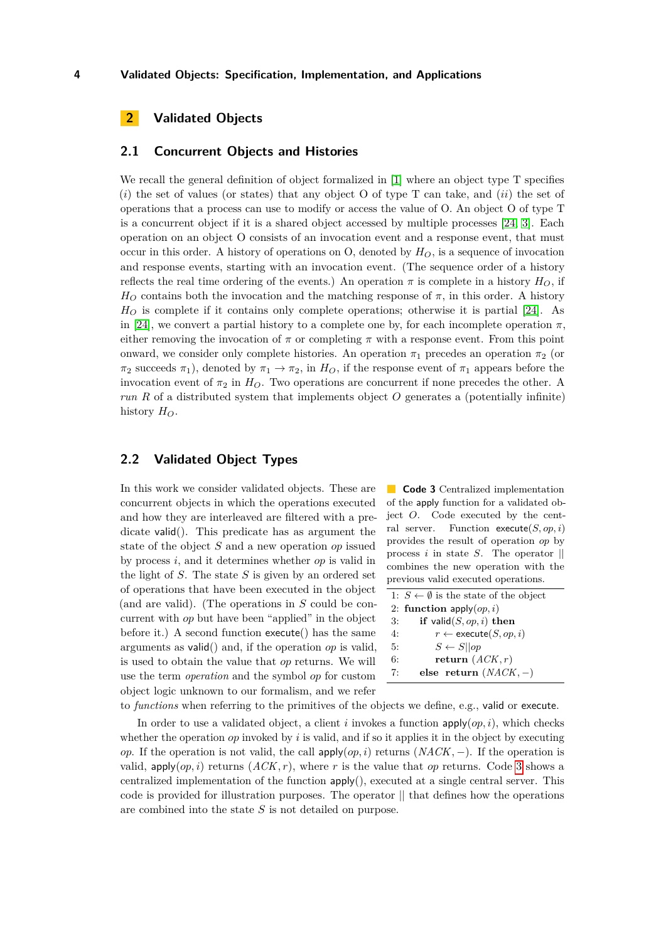# <span id="page-3-1"></span>**2 Validated Objects**

#### **2.1 Concurrent Objects and Histories**

We recall the general definition of object formalized in [\[1\]](#page-15-5) where an object type T specifies (*i*) the set of values (or states) that any object O of type T can take, and (*ii*) the set of operations that a process can use to modify or access the value of O. An object O of type T is a concurrent object if it is a shared object accessed by multiple processes [\[24,](#page-16-5) [3\]](#page-15-0). Each operation on an object O consists of an invocation event and a response event, that must occur in this order. A history of operations on O, denoted by  $H_O$ , is a sequence of invocation and response events, starting with an invocation event. (The sequence order of a history reflects the real time ordering of the events.) An operation  $\pi$  is complete in a history  $H_O$ , if  $H_O$  contains both the invocation and the matching response of  $\pi$ , in this order. A history *H<sup>O</sup>* is complete if it contains only complete operations; otherwise it is partial [\[24\]](#page-16-5). As in [\[24\]](#page-16-5), we convert a partial history to a complete one by, for each incomplete operation  $\pi$ , either removing the invocation of  $\pi$  or completing  $\pi$  with a response event. From this point onward, we consider only complete histories. An operation  $\pi_1$  precedes an operation  $\pi_2$  (or *π*<sub>2</sub> succeeds *π*<sub>1</sub>), denoted by  $π_1 \rightarrow π_2$ , in  $H_O$ , if the response event of  $π_1$  appears before the invocation event of  $\pi_2$  in  $H_O$ . Two operations are concurrent if none precedes the other. A *run R* of a distributed system that implements object *O* generates a (potentially infinite) history  $H_O$ .

### **2.2 Validated Object Types**

In this work we consider validated objects. These are concurrent objects in which the operations executed and how they are interleaved are filtered with a predicate valid(). This predicate has as argument the state of the object *S* and a new operation *op* issued by process *i*, and it determines whether *op* is valid in the light of *S*. The state *S* is given by an ordered set of operations that have been executed in the object (and are valid). (The operations in *S* could be concurrent with *op* but have been "applied" in the object before it.) A second function execute() has the same arguments as valid() and, if the operation *op* is valid, is used to obtain the value that *op* returns. We will use the term *operation* and the symbol *op* for custom object logic unknown to our formalism, and we refer

<span id="page-3-0"></span>**Code 3** Centralized implementation of the apply function for a validated object *O*. Code executed by the central server. Function execute(*S, op, i*) provides the result of operation *op* by process *i* in state *S*. The operator || combines the new operation with the previous valid executed operations.

|    | 1: $S \leftarrow \emptyset$ is the state of the object |  |  |
|----|--------------------------------------------------------|--|--|
|    | 2: function apply $(op, i)$                            |  |  |
| 3: | if valid $(S, op, i)$ then                             |  |  |
| 4: | $r \leftarrow$ execute $(S, op, i)$                    |  |  |
| 5: | $S \leftarrow S  op$                                   |  |  |
| 6: | return $(ACK, r)$                                      |  |  |
| 7: | else return $(NACK, -)$                                |  |  |

to *functions* when referring to the primitives of the objects we define, e.g., valid or execute.

In order to use a validated object, a client *i* invokes a function  $apply(op, i)$ , which checks whether the operation *op* invoked by *i* is valid, and if so it applies it in the object by executing *op*. If the operation is not valid, the call apply $(op, i)$  returns  $(NACK, -)$ . If the operation is valid,  $app(y(\rho p, i)$  returns  $(ACK, r)$ , where r is the value that *op* returns. Code [3](#page-3-0) shows a centralized implementation of the function apply(), executed at a single central server. This code is provided for illustration purposes. The operator  $\parallel$  that defines how the operations are combined into the state *S* is not detailed on purpose.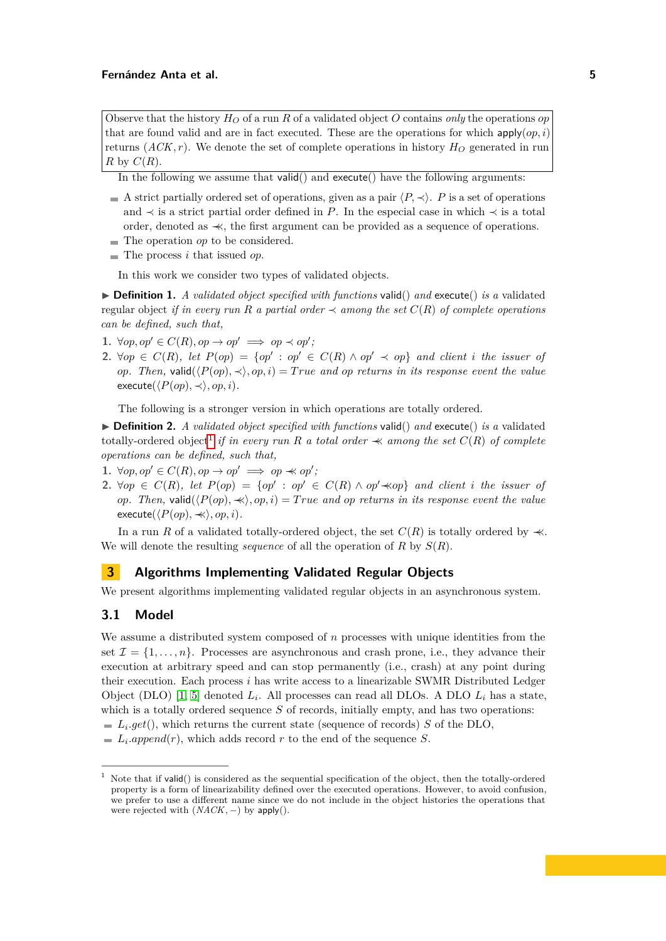Observe that the history  $H_O$  of a run R of a validated object O contains *only* the operations *op* that are found valid and are in fact executed. These are the operations for which  $\text{apply}(op, i)$ returns  $(ACK, r)$ . We denote the set of complete operations in history  $H<sub>O</sub>$  generated in run *R* by  $C(R)$ .

In the following we assume that valid() and execute() have the following arguments:

- A strict partially ordered set of operations, given as a pair  $\langle P, \prec \rangle$ . *P* is a set of operations and  $\prec$  is a strict partial order defined in *P*. In the especial case in which  $\prec$  is a total order, denoted as ≺≺, the first argument can be provided as a sequence of operations.
- The operation *op* to be considered.
- $\blacksquare$  The process *i* that issued *op*.

In this work we consider two types of validated objects.

<span id="page-4-2"></span> $\triangleright$  **Definition 1.** *A validated object specified with functions* valid() *and* execute() *is a* validated regular object *if in every run* R *a partial order*  $\prec$  *among the set*  $C(R)$  *of complete operations can be defined, such that,*

- 1.  $\forall op, op' \in C(R), op \rightarrow op' \implies op \prec op';$
- **2.** ∀ $op \in C(R)$ , let  $P(op) = \{op' : op' \in C(R) \land op' \prec op\}$  and client *i* the issuer of *op.* Then, valid $(\langle P(\textit{op}), \prec \rangle, \textit{op}, i) = True$  and op returns in its response event the value  $\epsilon$ xecute( $\langle P(op), \prec \rangle$ *, op, i*)*.*

The following is a stronger version in which operations are totally ordered.

<span id="page-4-3"></span> $\triangleright$  **Definition 2.** *A validated object specified with functions* valid() *and* execute() *is a* validated  $\alpha$  *totally-ordered object<sup>[1](#page-4-1)</sup> if in every run R a total order*  $\prec$  *among the set*  $C(R)$  *of complete operations can be defined, such that,*

- 1.  $\forall op, op' \in C(R), op \rightarrow op' \implies op \nprec op';$
- **2.** ∀ $op \in C(R)$ , let  $P(op) = \{op' : op' \in C(R) \land op' \nless op\}$  and client *i* the issuer of *op.* Then, valid $(\langle P(\textit{op}), \prec \rangle, \textit{op}, i) = True$  and *op* returns in its response event the value  $\epsilon$ ×ecute( $\langle P(op), \prec \rangle$ *, op, i*)*.*

In a run *R* of a validated totally-ordered object, the set  $C(R)$  is totally ordered by  $\prec\!\!\prec$ . We will denote the resulting *sequence* of all the operation of *R* by *S*(*R*).

### <span id="page-4-0"></span>**3 Algorithms Implementing Validated Regular Objects**

We present algorithms implementing validated regular objects in an asynchronous system.

### **3.1 Model**

We assume a distributed system composed of *n* processes with unique identities from the set  $\mathcal{I} = \{1, \ldots, n\}$ . Processes are asynchronous and crash prone, i.e., they advance their execution at arbitrary speed and can stop permanently (i.e., crash) at any point during their execution. Each process *i* has write access to a linearizable SWMR Distributed Ledger Object (DLO) [\[1,](#page-15-5) [5\]](#page-15-6) denoted *L<sup>i</sup>* . All processes can read all DLOs. A DLO *L<sup>i</sup>* has a state, which is a totally ordered sequence *S* of records, initially empty, and has two operations: *Li .get*(), which returns the current state (sequence of records) *S* of the DLO,

 $L_i.append(r)$ , which adds record  $r$  to the end of the sequence  $S$ .

<span id="page-4-1"></span>Note that if valid() is considered as the sequential specification of the object, then the totally-ordered property is a form of linearizability defined over the executed operations. However, to avoid confusion, we prefer to use a different name since we do not include in the object histories the operations that were rejected with (*NACK,* −) by apply().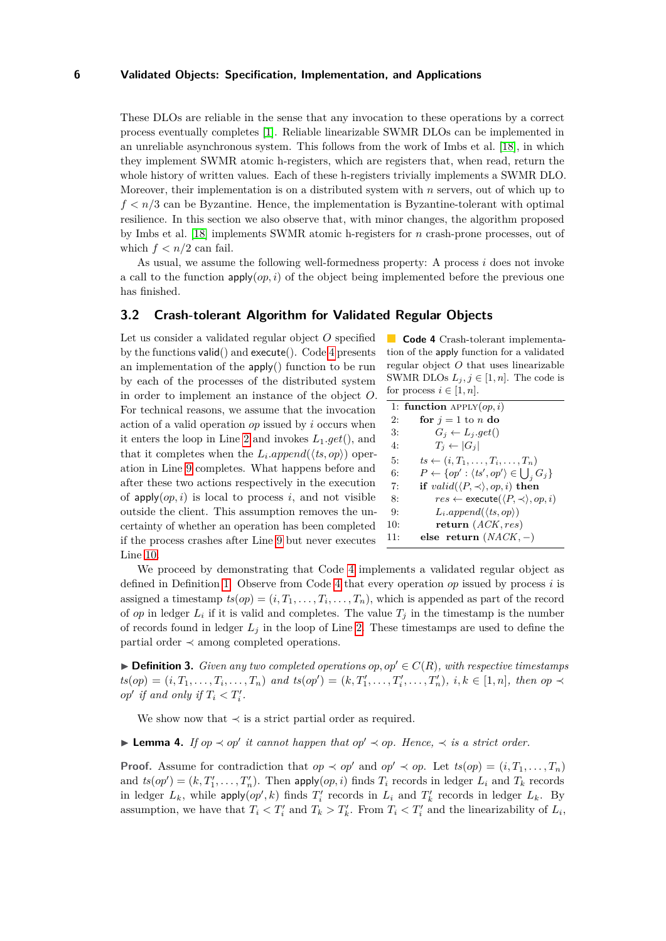These DLOs are reliable in the sense that any invocation to these operations by a correct process eventually completes [\[1\]](#page-15-5). Reliable linearizable SWMR DLOs can be implemented in an unreliable asynchronous system. This follows from the work of Imbs et al. [\[18\]](#page-16-6), in which they implement SWMR atomic h-registers, which are registers that, when read, return the whole history of written values. Each of these h-registers trivially implements a SWMR DLO. Moreover, their implementation is on a distributed system with *n* servers, out of which up to  $f < n/3$  can be Byzantine. Hence, the implementation is Byzantine-tolerant with optimal resilience. In this section we also observe that, with minor changes, the algorithm proposed by Imbs et al. [\[18\]](#page-16-6) implements SWMR atomic h-registers for *n* crash-prone processes, out of which  $f < n/2$  can fail.

As usual, we assume the following well-formedness property: A process *i* does not invoke a call to the function  $\text{apply}(op, i)$  of the object being implemented before the previous one has finished.

### **3.2 Crash-tolerant Algorithm for Validated Regular Objects**

Let us consider a validated regular object *O* specified by the functions valid() and execute(). Code [4](#page-5-0) presents an implementation of the apply() function to be run by each of the processes of the distributed system in order to implement an instance of the object *O*. For technical reasons, we assume that the invocation action of a valid operation *op* issued by *i* occurs when it enters the loop in Line [2](#page-5-0) and invokes *L*1*.get*(), and that it completes when the  $L_i.append(\langle ts, op \rangle)$  operation in Line [9](#page-5-0) completes. What happens before and after these two actions respectively in the execution of  $apply(op, i)$  is local to process *i*, and not visible outside the client. This assumption removes the uncertainty of whether an operation has been completed if the process crashes after Line [9](#page-5-0) but never executes Line [10.](#page-5-0)

<span id="page-5-0"></span>**Code 4** Crash-tolerant implementation of the apply function for a validated regular object *O* that uses linearizable SWMR DLOs  $L_j, j \in [1, n]$ . The code is for process  $i \in [1, n]$ .

|     | 1: function APPLY $(op, i)$                                         |
|-----|---------------------------------------------------------------------|
| 2:  | for $j = 1$ to n do                                                 |
| 3:  | $G_i \leftarrow L_i.get()$                                          |
| 4:  | $T_i \leftarrow  G_i $                                              |
| 5:  | $ts \leftarrow (i, T_1, \ldots, T_i, \ldots, T_n)$                  |
| 6:  | $P \leftarrow \{op' : \langle ts', op' \rangle \in \bigcup_i G_j\}$ |
| 7:  | if $valid(\langle P,\prec\rangle,op,i)$ then                        |
| 8:  | $res \leftarrow$ execute $(\langle P, \prec \rangle, op, i)$        |
| 9:  | $L_i.append(\langle ts, op \rangle)$                                |
| 10: | return $(ACK, res)$                                                 |
| 11: | else return $(NACK, -)$                                             |
|     |                                                                     |

We proceed by demonstrating that Code [4](#page-5-0) implements a validated regular object as defined in Definition [1.](#page-4-2) Observe from Code [4](#page-5-0) that every operation *op* issued by process *i* is assigned a timestamp  $ts(op) = (i, T_1, \ldots, T_i, \ldots, T_n)$ , which is appended as part of the record of *op* in ledger  $L_i$  if it is valid and completes. The value  $T_j$  in the timestamp is the number of records found in ledger  $L_j$  in the loop of Line [2.](#page-5-0) These timestamps are used to define the partial order ≺ among completed operations.

<span id="page-5-1"></span> $\blacktriangleright$  **Definition 3.** *Given any two completed operations op, op'*  $\in$  *C*(*R*)*, with respective timestamps*  $ts(op) = (i, T_1, \ldots, T_i, \ldots, T_n)$  and  $ts(op') = (k, T'_1, \ldots, T'_i, \ldots, T'_n), i, k \in [1, n],$  then op  $\prec$ *op' if* and *only if*  $T_i < T'_i$ .

We show now that  $\prec$  is a strict partial order as required.

**► Lemma 4.** *If*  $op \prec op'$  *it cannot happen that*  $op' \prec op$ *. Hence,*  $\prec$  *is a strict order.* 

**Proof.** Assume for contradiction that  $op \prec op'$  and  $op' \prec op$ . Let  $ts(op) = (i, T_1, \ldots, T_n)$ and  $ts(op') = (k, T'_1, \ldots, T'_n)$ . Then apply $(op, i)$  finds  $T_i$  records in ledger  $L_i$  and  $T_k$  records in ledger  $L_k$ , while  $\text{apply}(op', k)$  finds  $T'_i$  records in  $L_i$  and  $T'_k$  records in ledger  $L_k$ . By assumption, we have that  $T_i \leq T'_i$  and  $T_k > T'_k$ . From  $T_i \leq T'_i$  and the linearizability of  $L_i$ ,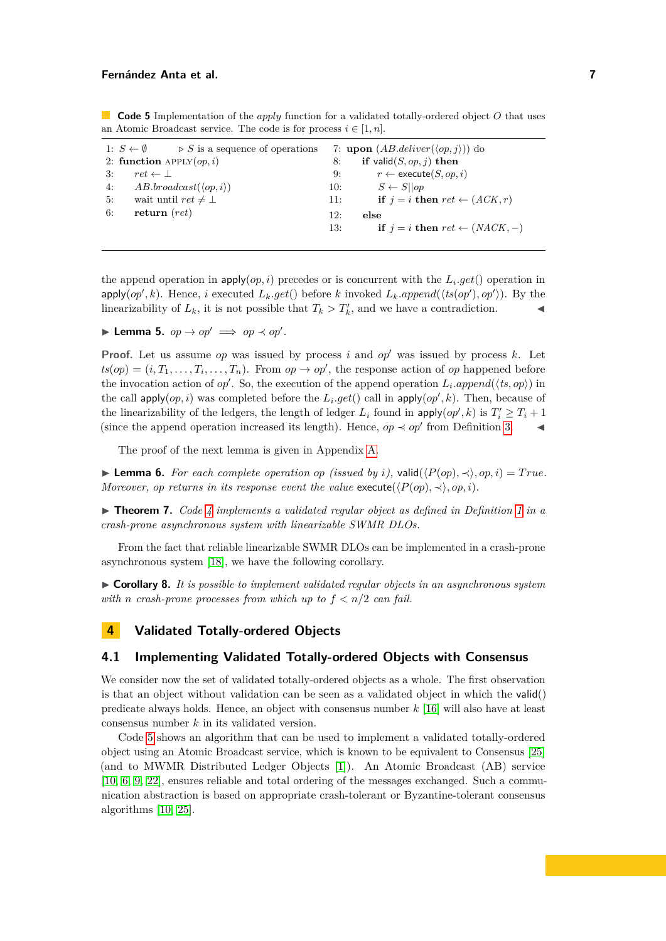<span id="page-6-1"></span>**Code 5** Implementation of the *apply* function for a validated totally-ordered object *O* that uses an Atomic Broadcast service. The code is for process  $i \in [1, n]$ .

| 1: $S \leftarrow \emptyset$                    | 7: upon $(AB\text{.}deliver(\langle op, j \rangle))$ do |
|------------------------------------------------|---------------------------------------------------------|
| $\triangleright$ S is a sequence of operations | if valid $(S, op, j)$ then                              |
| 2: function $APPLY(op, i)$                     | 8:                                                      |
| 3:                                             | $r \leftarrow$ execute $(S, op, i)$                     |
| $ret \leftarrow \perp$                         | 9:                                                      |
| $AB.broadcast(\langle op, i \rangle)$          | $S \leftarrow S \cup op$                                |
| 4:                                             | 10:                                                     |
| wait until $ret \neq \bot$                     | if $i = i$ then $ret \leftarrow (ACK, r)$               |
| 5:                                             | 11:                                                     |
| return $(ret)$                                 | 12:                                                     |
| 6:                                             | else                                                    |
|                                                | if $i = i$ then $ret \leftarrow (NACK, -)$<br>13:       |

the append operation in  $\text{apply}(op, i)$  precedes or is concurrent with the  $L_i.get()$  operation in apply $(op', k)$ . Hence, *i* executed  $L_k.get()$  before *k* invoked  $L_k.append(\langle ts(op'), op' \rangle)$ . By the linearizability of  $L_k$ , it is not possible that  $T_k > T'_k$ , and we have a contradiction.

**I** Lemma 5.  $op \rightarrow op' \implies op \prec op'.$ 

**Proof.** Let us assume *op* was issued by process *i* and *op*<sup> $\prime$ </sup> was issued by process *k*. Let  $ts(op) = (i, T_1, \ldots, T_i, \ldots, T_n)$ . From  $op \to op'$ , the response action of *op* happened before the invocation action of *op'*. So, the execution of the append operation  $L_i.append(\langle ts, op \rangle)$  in the call  $apply(op, i)$  was completed before the  $L_i.get()$  call in  $apply(op', k)$ . Then, because of the linearizability of the ledgers, the length of ledger  $L_i$  found in  $\text{apply}(op', k)$  is  $T_i' \geq T_i + 1$ (since the append operation increased its length). Hence,  $op \prec op'$  from Definition [3.](#page-5-1)

The proof of the next lemma is given in Appendix [A.](#page-17-0)

<span id="page-6-2"></span>▶ **Lemma 6.** *For each complete operation op (issued by i),* valid( $\langle P(op), \prec \rangle$ , *op*, *i*) = *True*. *Moreover, op returns in its response event the value* execute( $\langle P(op), \prec \rangle$ *, op, i*).

I **Theorem 7.** *Code [4](#page-5-0) implements a validated regular object as defined in Definition [1](#page-4-2) in a crash-prone asynchronous system with linearizable SWMR DLOs.*

From the fact that reliable linearizable SWMR DLOs can be implemented in a crash-prone asynchronous system [\[18\]](#page-16-6), we have the following corollary.

I **Corollary 8.** *It is possible to implement validated regular objects in an asynchronous system with n crash-prone processes from which up to*  $f < n/2$  *can fail.* 

# **4 Validated Totally-ordered Objects**

#### <span id="page-6-0"></span>**4.1 Implementing Validated Totally-ordered Objects with Consensus**

We consider now the set of validated totally-ordered objects as a whole. The first observation is that an object without validation can be seen as a validated object in which the valid() predicate always holds. Hence, an object with consensus number *k* [\[16\]](#page-16-7) will also have at least consensus number *k* in its validated version.

Code [5](#page-6-1) shows an algorithm that can be used to implement a validated totally-ordered object using an Atomic Broadcast service, which is known to be equivalent to Consensus [\[25\]](#page-16-8) (and to MWMR Distributed Ledger Objects [\[1\]](#page-15-5)). An Atomic Broadcast (AB) service [\[10,](#page-15-7) [6,](#page-15-8) [9,](#page-15-9) [22\]](#page-16-9), ensures reliable and total ordering of the messages exchanged. Such a communication abstraction is based on appropriate crash-tolerant or Byzantine-tolerant consensus algorithms [\[10,](#page-15-7) [25\]](#page-16-8).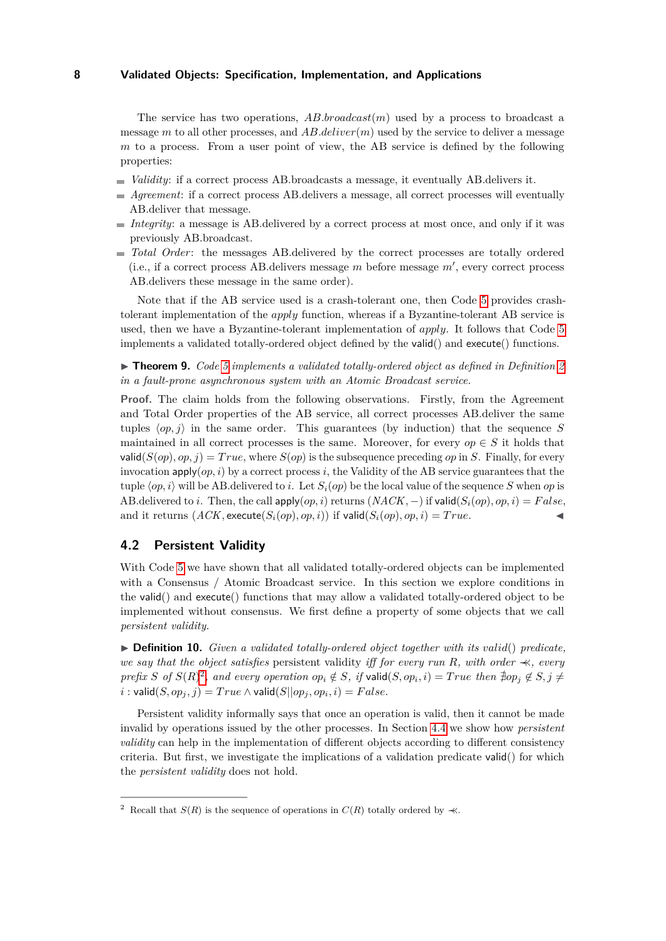The service has two operations, *AB.broadcast*(*m*) used by a process to broadcast a message *m* to all other processes, and *AB.deliver*(*m*) used by the service to deliver a message *m* to a process. From a user point of view, the AB service is defined by the following properties:

- *Validity*: if a correct process AB.broadcasts a message, it eventually AB.delivers it.
- *Agreement*: if a correct process AB.delivers a message, all correct processes will eventually AB.deliver that message.
- *Integrity*: a message is AB.delivered by a correct process at most once, and only if it was previously AB.broadcast.
- *Total Order*: the messages AB.delivered by the correct processes are totally ordered (i.e., if a correct process AB.delivers message  $m$  before message  $m'$ , every correct process AB.delivers these message in the same order).

Note that if the AB service used is a crash-tolerant one, then Code [5](#page-6-1) provides crashtolerant implementation of the *apply* function, whereas if a Byzantine-tolerant AB service is used, then we have a Byzantine-tolerant implementation of *apply*. It follows that Code [5](#page-6-1) implements a validated totally-ordered object defined by the valid() and execute() functions.

▶ **Theorem 9.** *Code [5](#page-6-1) implements a validated totally-ordered object as defined in Definition* [2](#page-4-3) *in a fault-prone asynchronous system with an Atomic Broadcast service.*

**Proof.** The claim holds from the following observations. Firstly, from the Agreement and Total Order properties of the AB service, all correct processes AB.deliver the same tuples  $\langle op, j \rangle$  in the same order. This guarantees (by induction) that the sequence *S* maintained in all correct processes is the same. Moreover, for every  $op \in S$  it holds that valid $(S(op), op, j) = True$ , where  $S(op)$  is the subsequence preceding *op* in *S*. Finally, for every invocation  $\text{apply}(op, i)$  by a correct process *i*, the Validity of the AB service guarantees that the tuple  $\langle op, i \rangle$  will be AB.delivered to *i*. Let  $S_i(op)$  be the local value of the sequence *S* when *op* is AB.delivered to *i*. Then, the call apply $(op, i)$  returns  $(NACK, -)$  if valid $(S_i(op), op, i) = False$ , and it returns  $(ACK, execute(S_i(op), op, i))$  if valid $(S_i(op), op, i) = True$ .

### <span id="page-7-0"></span>**4.2 Persistent Validity**

With Code [5](#page-6-1) we have shown that all validated totally-ordered objects can be implemented with a Consensus / Atomic Broadcast service. In this section we explore conditions in the valid() and execute() functions that may allow a validated totally-ordered object to be implemented without consensus. We first define a property of some objects that we call *persistent validity.*

▶ **Definition 10.** *Given a validated totally-ordered object together with its valid*() *predicate, we say that the object satisfies* persistent validity *iff for every run R, with order* ≺≺*, every* prefix S of  $S(R)^2$  $S(R)^2$ , and every operation  $op_i \notin S$ , if  $\text{valid}(S, op_i, i) = True$  then  $\exists op_j \notin S, j \neq j$  $i:$  valid $(S, op_j, j) = True \land \mathsf{valid}(S||op_j, op_i, i) = False.$ 

Persistent validity informally says that once an operation is valid, then it cannot be made invalid by operations issued by the other processes. In Section [4.4](#page-11-0) we show how *persistent validity* can help in the implementation of different objects according to different consistency criteria. But first, we investigate the implications of a validation predicate valid() for which the *persistent validity* does not hold.

<span id="page-7-1"></span><sup>&</sup>lt;sup>2</sup> Recall that *S*(*R*) is the sequence of operations in  $C(R)$  totally ordered by  $\prec\!\!\prec$ .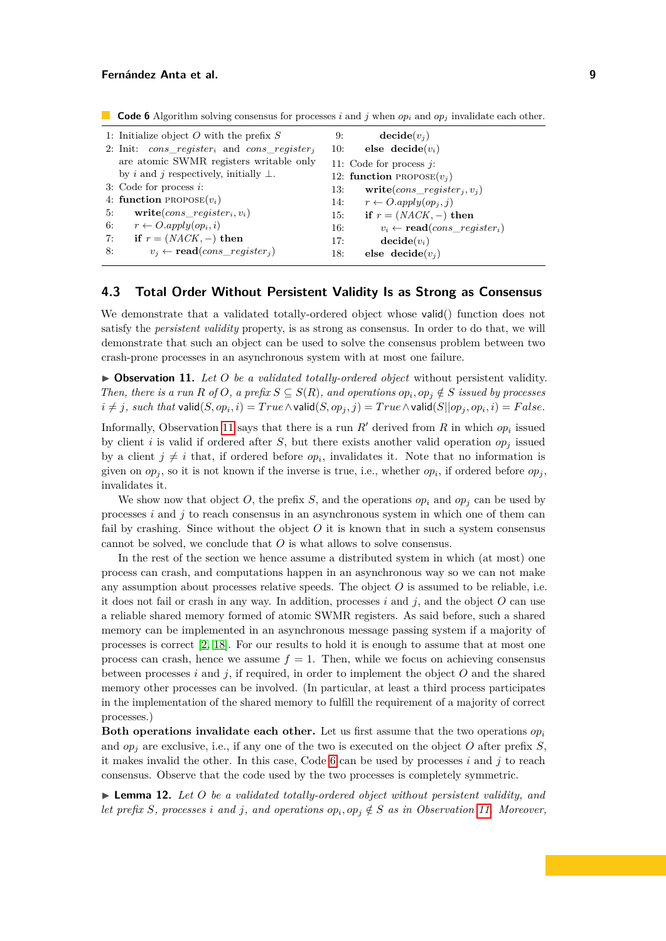|                                                            | 9:<br>10:                                                                                                                                                                            | $\mathbf{decide}(v_i)$<br>else decide $(v_i)$           |
|------------------------------------------------------------|--------------------------------------------------------------------------------------------------------------------------------------------------------------------------------------|---------------------------------------------------------|
| are atomic SWMR registers writable only                    |                                                                                                                                                                                      | 11: Code for process $i$ :                              |
| by <i>i</i> and <i>j</i> respectively, initially $\perp$ . |                                                                                                                                                                                      | 12: function PROPOSE $(v_i)$                            |
|                                                            | 13:                                                                                                                                                                                  | write( $cons\_register_i, v_i$ )                        |
|                                                            | 14:                                                                                                                                                                                  | $r \leftarrow O.appendy(op_i, i)$                       |
| $write(cons\_register_i, v_i)$                             | 15:                                                                                                                                                                                  | if $r = (NACK, -)$ then                                 |
| $r \leftarrow O. apply(op_i, i)$                           | 16:                                                                                                                                                                                  | $v_i \leftarrow \text{read}(cons\ \ \text{register}_i)$ |
| if $r = (NACK, -)$ then                                    | 17:                                                                                                                                                                                  | $\mathbf{decide}(v_i)$                                  |
| $v_i \leftarrow \text{read}(cons\_register_i)$             | 18:                                                                                                                                                                                  | else decide $(v_i)$                                     |
|                                                            | 1: Initialize object O with the prefix $S$<br>2: Init: $cons\_register_i$ and $cons\_register_i$<br>3: Code for process $i$ :<br>4: function PROPOSE $(v_i)$<br>5:<br>6:<br>7:<br>8: |                                                         |

<span id="page-8-2"></span>**Code 6** Algorithm solving consensus for processes *i* and *j* when  $op_i$  and  $op_j$  invalidate each other.

### <span id="page-8-0"></span>**4.3 Total Order Without Persistent Validity Is as Strong as Consensus**

We demonstrate that a validated totally-ordered object whose valid() function does not satisfy the *persistent validity* property, is as strong as consensus. In order to do that, we will demonstrate that such an object can be used to solve the consensus problem between two crash-prone processes in an asynchronous system with at most one failure.

<span id="page-8-1"></span>▶ Observation 11. Let O be a validated totally-ordered object without persistent validity. *Then, there is a run R of O*, *a prefix*  $S \subseteq S(R)$ *, and operations*  $op_i, op_j \notin S$  *issued by processes*  $i \neq j, \: such \: \textit{that}\: \textsf{valid}(S, op_i, i) = \mathit{True} \land \textsf{valid}(S, op_j, j) = \mathit{True} \land \textsf{valid}(S||op_j, op_i, i) = \mathit{False}.$ 

Informally, Observation [11](#page-8-1) says that there is a run  $R'$  derived from  $R$  in which  $op_i$  issued by client *i* is valid if ordered after *S*, but there exists another valid operation  $op<sub>j</sub>$  issued by a client  $j \neq i$  that, if ordered before  $op_i$ , invalidates it. Note that no information is given on  $op_j$ , so it is not known if the inverse is true, i.e., whether  $op_i$ , if ordered before  $op_j$ , invalidates it.

We show now that object O, the prefix S, and the operations  $op_i$  and  $op_j$  can be used by processes *i* and *j* to reach consensus in an asynchronous system in which one of them can fail by crashing. Since without the object *O* it is known that in such a system consensus cannot be solved, we conclude that *O* is what allows to solve consensus.

In the rest of the section we hence assume a distributed system in which (at most) one process can crash, and computations happen in an asynchronous way so we can not make any assumption about processes relative speeds. The object  $O$  is assumed to be reliable, i.e. it does not fail or crash in any way. In addition, processes  $i$  and  $j$ , and the object  $O$  can use a reliable shared memory formed of atomic SWMR registers. As said before, such a shared memory can be implemented in an asynchronous message passing system if a majority of processes is correct [\[2,](#page-15-10) [18\]](#page-16-6). For our results to hold it is enough to assume that at most one process can crash, hence we assume  $f = 1$ . Then, while we focus on achieving consensus between processes *i* and *j*, if required, in order to implement the object *O* and the shared memory other processes can be involved. (In particular, at least a third process participates in the implementation of the shared memory to fulfill the requirement of a majority of correct processes.)

**Both operations invalidate each other.** Let us first assume that the two operations *op<sup>i</sup>* and *op<sup>j</sup>* are exclusive, i.e., if any one of the two is executed on the object *O* after prefix *S*, it makes invalid the other. In this case, Code [6](#page-8-2) can be used by processes *i* and *j* to reach consensus. Observe that the code used by the two processes is completely symmetric.

<span id="page-8-3"></span>**Lemma 12.** Let  $O$  be a validated totally-ordered object without persistent validity, and *let prefix S*, processes *i* and *j*, and operations  $op_i, op_j \notin S$  *as in Observation [11.](#page-8-1)* Moreover,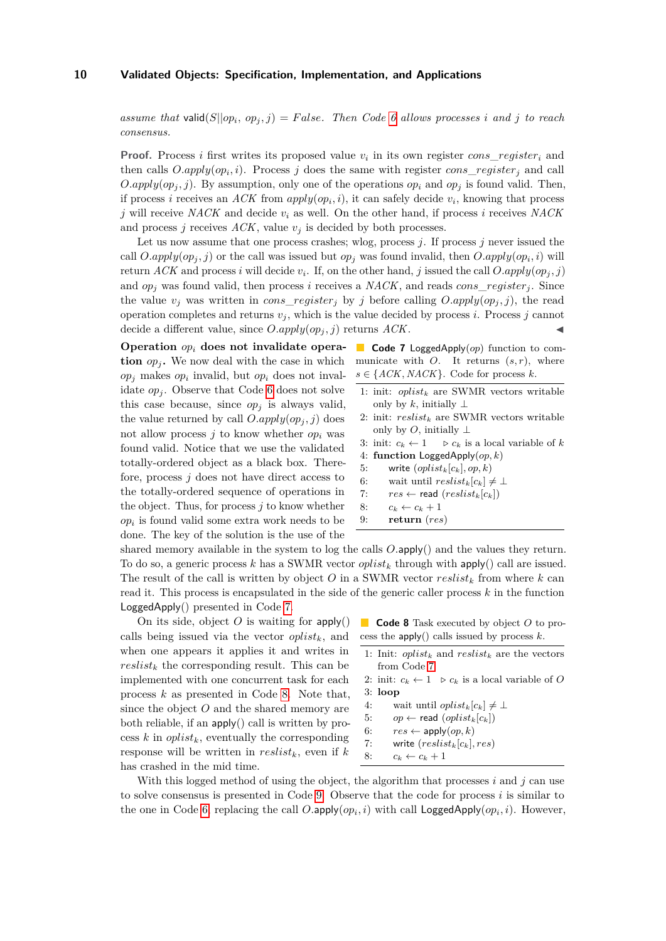*assume that* valid $(S||op_i, op_j, j) = False$ *. Then Code [6](#page-8-2) allows processes i and j to reach consensus.*

**Proof.** Process *i* first writes its proposed value  $v_i$  in its own register  $cons\_register_i$  and then calls  $O.apply(op_i, i)$ . Process *j* does the same with register  $cons\_register_j$  and call *O.apply*( $op_i$ *, j*). By assumption, only one of the operations  $op_i$  and  $op_j$  is found valid. Then, if process *i* receives an *ACK* from  $apply(op_i, i)$ , it can safely decide  $v_i$ , knowing that process *j* will receive *NACK* and decide *v<sup>i</sup>* as well. On the other hand, if process *i* receives *NACK* and process *j* receives  $ACK$ , value  $v_j$  is decided by both processes.

Let us now assume that one process crashes; wlog, process *j*. If process *j* never issued the call  $O.apply(op_j, j)$  or the call was issued but  $op_j$  was found invalid, then  $O.apply(op_i, i)$  will return  $ACK$  and process *i* will decide  $v_i$ . If, on the other hand, *j* issued the call  $O.apply(op_j, j)$ and  $op_j$  was found valid, then process *i* receives a *NACK*, and reads  $cons\_register_j$ . Since the value  $v_i$  was written in *cons* register<sub>*i*</sub> by *j* before calling  $O.apply(op_i, j)$ , the read operation completes and returns  $v_j$ , which is the value decided by process *i*. Process *j* cannot decide a different value, since  $O.apply(op_j, j)$  returns  $ACK$ .

**Operation** *op<sup>i</sup>* **does not invalidate operation**  $op_i$ . We now deal with the case in which  $op_j$  makes  $op_i$  invalid, but  $op_i$  does not invalidate  $op_i$ . Observe that Code [6](#page-8-2) does not solve this case because, since  $op<sub>j</sub>$  is always valid, the value returned by call  $O.apply(op_j, j)$  does not allow process  $j$  to know whether  $op_i$  was found valid. Notice that we use the validated totally-ordered object as a black box. Therefore, process *j* does not have direct access to the totally-ordered sequence of operations in the object. Thus, for process *j* to know whether  $op_i$  is found valid some extra work needs to be done. The key of the solution is the use of the

<span id="page-9-0"></span>**Code 7** LoggedApply(*op*) function to communicate with *O*. It returns (*s, r*), where  $s \in \{ACK, NACK\}$ . Code for process *k*.

- 1: init: *oplist<sup>k</sup>* are SWMR vectors writable only by  $k$ , initially  $\perp$
- 2: init: *reslist<sup>k</sup>* are SWMR vectors writable only by *O*, initially  $\perp$
- 3: init:  $c_k \leftarrow 1$   $\Rightarrow c_k$  is a local variable of *k*
- 4: **function** LoggedApply(*op, k*)
- 5: write  $\left(\text{op}list_k[c_k], \text{op}, k\right)$
- 6: wait until  $reslist_k[c_k] \neq \perp$
- 7:  $res \leftarrow \text{read}(reslist_k[c_k])$
- 8:  $c_k \leftarrow c_k + 1$
- 9: **return** (*res*)

shared memory available in the system to log the calls *O.*apply() and the values they return. To do so, a generic process *k* has a SWMR vector *oplist<sup>k</sup>* through with apply() call are issued. The result of the call is written by object  $O$  in a SWMR vector  $reslist_k$  from where  $k$  can read it. This process is encapsulated in the side of the generic caller process *k* in the function LoggedApply() presented in Code [7.](#page-9-0)

On its side, object  $O$  is waiting for  $\text{apply}()$ calls being issued via the vector *oplistk*, and when one appears it applies it and writes in  $reslist_k$  the corresponding result. This can be implemented with one concurrent task for each process *k* as presented in Code [8.](#page-9-1) Note that, since the object *O* and the shared memory are both reliable, if an apply() call is written by process  $k$  in *oplist<sub>k</sub>*, eventually the corresponding response will be written in *reslistk*, even if *k* has crashed in the mid time.

<span id="page-9-1"></span>**Code 8** Task executed by object *O* to process the apply() calls issued by process *k*.

- 1: Init:  $\text{oplist}_k$  and  $\text{reslist}_k$  are the vectors from Code [7](#page-9-0)
- 2: init:  $c_k \leftarrow 1 \quad \triangleright c_k$  is a local variable of O 3: **loop**
- 4: wait until *oplist*<sub>k</sub> $[c_k] \neq \perp$
- 5: *op*  $\leftarrow$  read  $(\text{oplist}_k[c_k])$
- 6:  $res \leftarrow \text{apply}(op, k)$
- 7: write (*reslistk*[*ck*]*, res*)
- 8:  $c_k \leftarrow c_k + 1$

With this logged method of using the object, the algorithm that processes  $i$  and  $j$  can use to solve consensus is presented in Code [9.](#page-10-0) Observe that the code for process *i* is similar to the one in Code [6,](#page-8-2) replacing the call  $O.\text{apply}(op_i, i)$  with call  $\text{LoggedApply}(op_i, i)$ . However,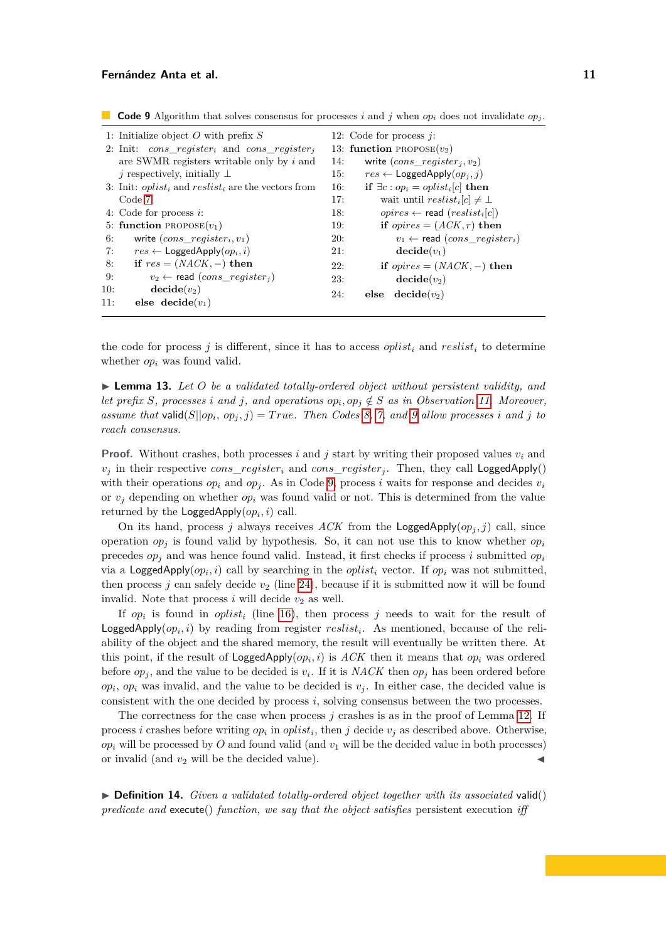<span id="page-10-0"></span>

| 1: Initialize object O with prefix $S$                                                 | 12: Code for process $i$ :                                                         |
|----------------------------------------------------------------------------------------|------------------------------------------------------------------------------------|
| 2: Init: cons register <sub>i</sub> and cons register <sub>i</sub>                     | 13: function PROPOSE $(v_2)$                                                       |
| are SWMR registers writable only by $i$ and                                            | write $(cons\_register_i, v_2)$<br>14:                                             |
| <i>i</i> respectively, initially $\perp$                                               | $res \leftarrow$ LoggedApply $(op_i, i)$<br>15:                                    |
| 3: Init: <i>oplist<sub>i</sub></i> and <i>reslist<sub>i</sub></i> are the vectors from | if $\exists c : op_i = oplist_i[c]$ then<br>16:                                    |
| Code 7                                                                                 | wait until $reslist_i[c] \neq \perp$<br>17:                                        |
| 4: Code for process $i$ :                                                              | <i>opires</i> $\leftarrow$ read ( <i>reslist</i> <sub>i</sub> [ <i>c</i> ])<br>18: |
| 5: function PROPOSE $(v_1)$                                                            | if <i>opires</i> = $(ACK, r)$ then<br>19:                                          |
| write $(cons\_register_i, v_1)$<br>6:                                                  | $v_1 \leftarrow$ read (cons register <sub>i</sub> )<br><b>20:</b>                  |
| $res \leftarrow$ Logged Apply $(op_i, i)$<br>7:                                        | $\mathbf{decide}(v_1)$<br>21:                                                      |
| if $res = (NACK, -)$ then<br>8:                                                        | 22:<br>if <i>opires</i> = $(NACK, -)$ then                                         |
| $v_2 \leftarrow$ read (cons register <sub>i</sub> )<br>9:                              | $\mathbf{decide}(v_2)$<br>23:                                                      |
| 10:<br>$\mathbf{decide}(v_2)$                                                          | 24:<br>$\mathbf{decide}(v_2)$<br>else                                              |
| 11:<br>else decide $(v_1)$                                                             |                                                                                    |

the code for process  $j$  is different, since it has to access *oplist<sub>i</sub>* and *reslist<sub>i</sub>* to determine whether *op<sup>i</sup>* was found valid.

<span id="page-10-1"></span> $\blacktriangleright$  **Lemma 13.** Let O be a validated totally-ordered object without persistent validity, and *let prefix S*, processes *i* and *j*, and operations  $op_i, op_j \notin S$  *as in Observation [11.](#page-8-1)* Moreover, *assume that* valid $(S||op_i, op_j, j) = True$ *. Then Codes [8,](#page-9-1) [7,](#page-9-0) and [9](#page-10-0) allow processes i and j to reach consensus.*

**Proof.** Without crashes, both processes *i* and *j* start by writing their proposed values *v<sup>i</sup>* and  $v_j$  in their respective *cons*\_*register<sub>i</sub>* and *cons\_register<sub>i</sub>*. Then, they call LoggedApply() with their operations  $op_i$  and  $op_j$ . As in Code [9,](#page-10-0) process *i* waits for response and decides  $v_i$ or  $v_i$  depending on whether  $op_i$  was found valid or not. This is determined from the value returned by the  $\textsf{LoggedApply}(op_i, i)$  call.

On its hand, process *j* always receives *ACK* from the LoggedApply $(op_i, j)$  call, since operation  $op_i$  is found valid by hypothesis. So, it can not use this to know whether  $op_i$ precedes  $op_i$  and was hence found valid. Instead, it first checks if process *i* submitted  $op_i$ via a LoggedApply $(op_i, i)$  call by searching in the *oplist<sub>i</sub>* vector. If  $op_i$  was not submitted, then process *j* can safely decide  $v_2$  (line [24\)](#page-10-1), because if it is submitted now it will be found invalid. Note that process  $i$  will decide  $v_2$  as well.

If *op<sup>i</sup>* is found in *oplist<sup>i</sup>* (line [16\)](#page-10-1), then process *j* needs to wait for the result of LoggedApply $(op_i, i)$  by reading from register  $reslist_i$ . As mentioned, because of the reliability of the object and the shared memory, the result will eventually be written there. At this point, if the result of  $\text{LoggedApply}(op_i, i)$  is  $ACK$  then it means that  $op_i$  was ordered before  $op_j$ , and the value to be decided is  $v_i$ . If it is  $NACK$  then  $op_j$  has been ordered before  $op_i$ ,  $op_i$  was invalid, and the value to be decided is  $v_j$ . In either case, the decided value is consistent with the one decided by process *i*, solving consensus between the two processes.

The correctness for the case when process *j* crashes is as in the proof of Lemma [12.](#page-8-3) If process *i* crashes before writing  $op_i$  in  $oplist_i$ , then *j* decide  $v_j$  as described above. Otherwise,  $op_i$  will be processed by  $O$  and found valid (and  $v_1$  will be the decided value in both processes) or invalid (and  $v_2$  will be the decided value).

<span id="page-10-2"></span> $\triangleright$  **Definition 14.** *Given a validated totally-ordered object together with its associated valid() predicate and* execute() *function, we say that the object satisfies* persistent execution *iff*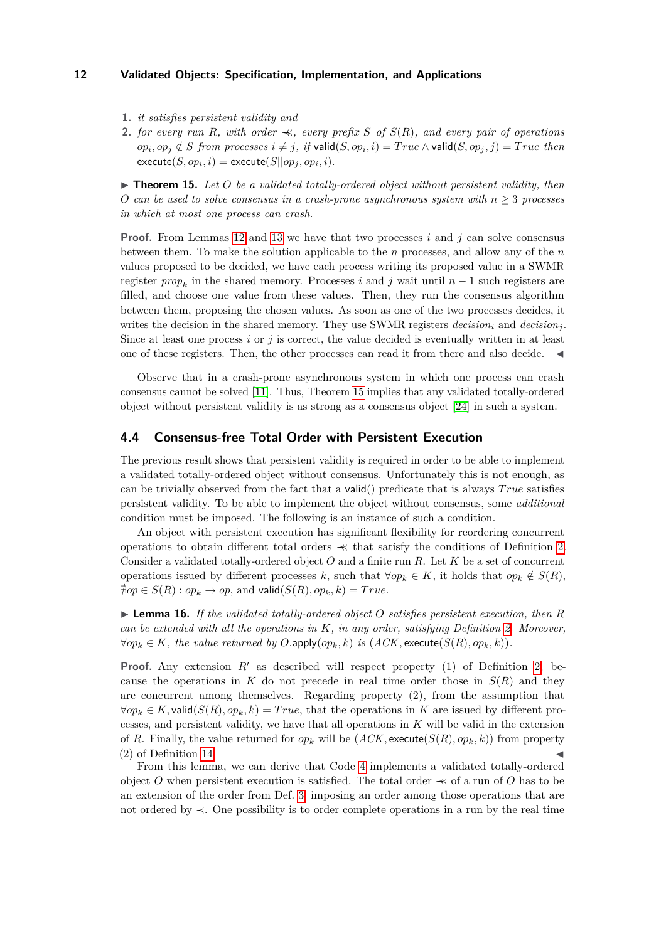- **1.** *it satisfies persistent validity and*
- **2.** *for every run R, with order*  $\prec$ *, every prefix S of S*(*R*)*, and every pair of operations*  $op_i, op_j \notin S$  from processes  $i \neq j$ , if valid $(S, op_i, i) = True \wedge \mathsf{valid}(S, op_j, j) = True$  then  $\mathsf{execute}(S, op_i, i) = \mathsf{execute}(S||op_j, op_i, i).$

<span id="page-11-1"></span> $\triangleright$  **Theorem 15.** Let O be a validated totally-ordered object without persistent validity, then *O can be used to solve consensus in a crash-prone asynchronous system with*  $n \geq 3$  *processes in which at most one process can crash.*

**Proof.** From Lemmas [12](#page-8-3) and [13](#page-10-1) we have that two processes *i* and *j* can solve consensus between them. To make the solution applicable to the *n* processes, and allow any of the *n* values proposed to be decided, we have each process writing its proposed value in a SWMR register  $prop_k$  in the shared memory. Processes *i* and *j* wait until  $n-1$  such registers are filled, and choose one value from these values. Then, they run the consensus algorithm between them, proposing the chosen values. As soon as one of the two processes decides, it writes the decision in the shared memory. They use SWMR registers  $decision_i$  and  $decision_j$ . Since at least one process *i* or *j* is correct, the value decided is eventually written in at least one of these registers. Then, the other processes can read it from there and also decide. J

Observe that in a crash-prone asynchronous system in which one process can crash consensus cannot be solved [\[11\]](#page-15-11). Thus, Theorem [15](#page-11-1) implies that any validated totally-ordered object without persistent validity is as strong as a consensus object [\[24\]](#page-16-5) in such a system.

### <span id="page-11-0"></span>**4.4 Consensus-free Total Order with Persistent Execution**

The previous result shows that persistent validity is required in order to be able to implement a validated totally-ordered object without consensus. Unfortunately this is not enough, as can be trivially observed from the fact that a valid() predicate that is always *T rue* satisfies persistent validity. To be able to implement the object without consensus, some *additional* condition must be imposed. The following is an instance of such a condition.

An object with persistent execution has significant flexibility for reordering concurrent operations to obtain different total orders ≺≺ that satisfy the conditions of Definition [2.](#page-4-3) Consider a validated totally-ordered object *O* and a finite run *R*. Let *K* be a set of concurrent operations issued by different processes *k*, such that  $\forall op_k \in K$ , it holds that  $op_k \notin S(R)$ ,  $\sharp$ *op*  $\in$  *S*(*R*) : *op<sub>k</sub>*  $\rightarrow$  *op*, and valid(*S*(*R*)*, op<sub>k</sub>, k*) = *True*.

▶ **Lemma 16.** *If the validated totally-ordered object O satisfies persistent execution, then R can be extended with all the operations in K, in any order, satisfying Definition [2.](#page-4-3) Moreover,*  $∀op_k ∈ K$ *, the value returned by*  $O.\text{apply}(op_k, k)$  *is*  $(ACK, execute(S(R), op_k, k))$ *.* 

**Proof.** Any extension  $R'$  as described will respect property (1) of Definition [2,](#page-4-3) because the operations in  $K$  do not precede in real time order those in  $S(R)$  and they are concurrent among themselves. Regarding property (2), from the assumption that  $∀op<sub>k</sub> ∈ K$ , valid $(S(R), op<sub>k</sub>, k) = True$ , that the operations in *K* are issued by different processes, and persistent validity, we have that all operations in *K* will be valid in the extension of *R*. Finally, the value returned for  $op_k$  will be  $(ACK, \text{execute}(S(R), op_k, k))$  from property  $(2)$  of Definition [14.](#page-10-2)

From this lemma, we can derive that Code [4](#page-5-0) implements a validated totally-ordered object *O* when persistent execution is satisfied. The total order  $\prec$  of a run of *O* has to be an extension of the order from Def. [3,](#page-5-1) imposing an order among those operations that are not ordered by ≺. One possibility is to order complete operations in a run by the real time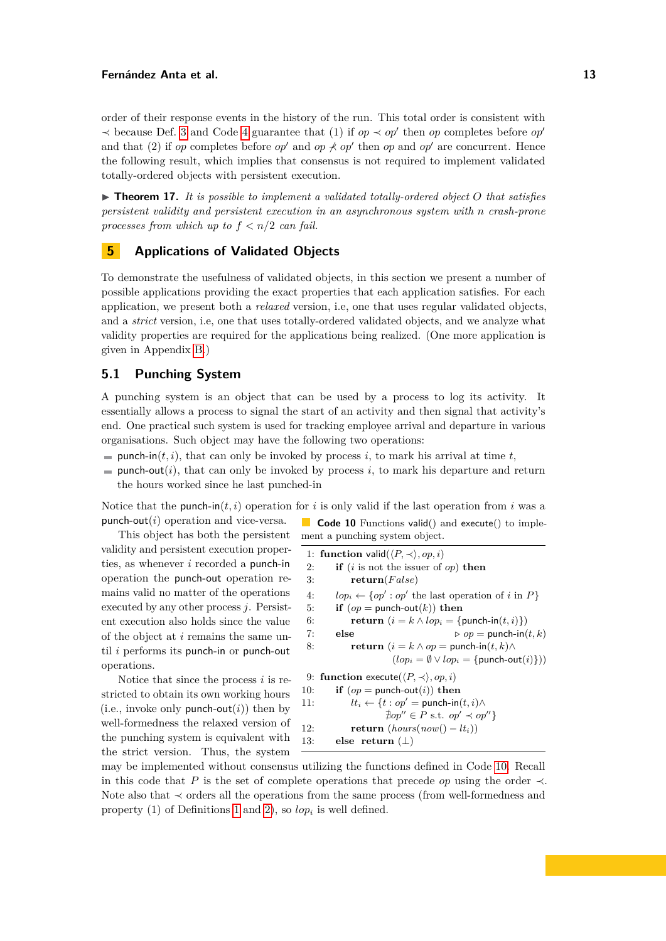order of their response events in the history of the run. This total order is consistent with  $\prec$  because Def. [3](#page-5-1) and Code [4](#page-5-0) guarantee that (1) if *op*  $\prec$  *op*<sup> $\prime$ </sup> then *op* completes before *op*<sup> $\prime$ </sup> and that (2) if *op* completes before *op*<sup> $\prime$ </sup> and *op*  $\not\prec$  *op*<sup> $\prime$ </sup> then *op* and *op*<sup> $\prime$ </sup> are concurrent. Hence the following result, which implies that consensus is not required to implement validated totally-ordered objects with persistent execution.

 $\triangleright$  **Theorem 17.** It is possible to implement a validated totally-ordered object O that satisfies *persistent validity and persistent execution in an asynchronous system with n crash-prone processes from which up to f < n/*2 *can fail.*

### <span id="page-12-0"></span>**5 Applications of Validated Objects**

To demonstrate the usefulness of validated objects, in this section we present a number of possible applications providing the exact properties that each application satisfies. For each application, we present both a *relaxed* version, i.e, one that uses regular validated objects, and a *strict* version, i.e, one that uses totally-ordered validated objects, and we analyze what validity properties are required for the applications being realized. (One more application is given in Appendix [B.](#page-17-1))

### **5.1 Punching System**

A punching system is an object that can be used by a process to log its activity. It essentially allows a process to signal the start of an activity and then signal that activity's end. One practical such system is used for tracking employee arrival and departure in various organisations. Such object may have the following two operations:

- **punch-in**( $t, i$ ), that can only be invoked by process *i*, to mark his arrival at time  $t$ ,
- punch-out(*i*), that can only be invoked by process *i*, to mark his departure and return the hours worked since he last punched-in

Notice that the punch-in( $t, i$ ) operation for *i* is only valid if the last operation from *i* was a punch-out(*i*) operation and vice-versa. **Code 10** Functions valid() and execute() to imple-

This object has both the persistent validity and persistent execution properties, as whenever *i* recorded a punch-in operation the punch-out operation remains valid no matter of the operations executed by any other process *j*. Persistent execution also holds since the value of the object at *i* remains the same until *i* performs its punch-in or punch-out operations.

Notice that since the process *i* is restricted to obtain its own working hours (i.e., invoke only punch-out $(i)$ ) then by well-formedness the relaxed version of the punching system is equivalent with the strict version. Thus, the system

ment a punching system object.

<span id="page-12-1"></span>

| 1: function valid $(\langle P,\prec\rangle,op,i)$                 |  |
|-------------------------------------------------------------------|--|
| if ( <i>i</i> is not the issuer of $op$ ) then                    |  |
| return(False)                                                     |  |
| $lop_i \leftarrow \{ op' : op'$ the last operation of i in P      |  |
| if $(op =$ punch-out $(k)$ ) then                                 |  |
| return $(i = k \wedge lop_i = \{\text{punch-in}(t, i)\})$         |  |
| $\triangleright$ op = punch-in $(t, k)$<br>else                   |  |
| return $(i = k \wedge op =$ punch-in $(t, k) \wedge$              |  |
| $(log_{i} \equiv \emptyset \vee log_{i} = \{$ punch-out $(i)\})$  |  |
| 9: function execute $(P, \prec), op, i)$                          |  |
| if $(op =$ punch-out $(i)$ ) then                                 |  |
| $lt_i \leftarrow \{t : op' = \text{punch-in}(t, i) \wedge$<br>11: |  |
| $\sharp op'' \in P$ s.t. $op' \prec op''$                         |  |
| return $(hours(now) - lt_i)$                                      |  |
| else return $(\perp)$                                             |  |
|                                                                   |  |

may be implemented without consensus utilizing the functions defined in Code [10.](#page-12-1) Recall in this code that *P* is the set of complete operations that precede *op* using the order  $\prec$ . Note also that ≺ orders all the operations from the same process (from well-formedness and property (1) of Definitions [1](#page-4-2) and [2\)](#page-4-3), so *lop<sup>i</sup>* is well defined.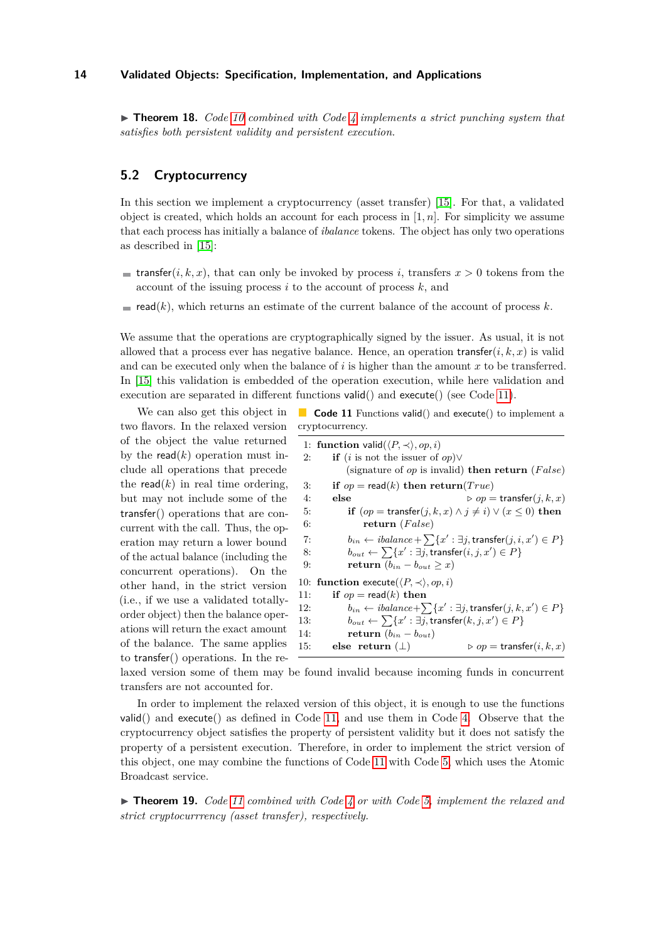$\triangleright$  **Theorem 18.** *Code [10](#page-12-1) combined with Code [4](#page-5-0) implements a strict punching system that satisfies both persistent validity and persistent execution.*

### **5.2 Cryptocurrency**

In this section we implement a cryptocurrency (asset transfer) [\[15\]](#page-16-10). For that, a validated object is created, which holds an account for each process in  $[1, n]$ . For simplicity we assume that each process has initially a balance of *ibalance* tokens. The object has only two operations as described in [\[15\]](#page-16-10):

- **transfer** $(i, k, x)$ , that can only be invoked by process *i*, transfers  $x > 0$  tokens from the account of the issuing process *i* to the account of process *k*, and
- read( $k$ ), which returns an estimate of the current balance of the account of process  $k$ .

We assume that the operations are cryptographically signed by the issuer. As usual, it is not allowed that a process ever has negative balance. Hence, an operation transfer $(i, k, x)$  is valid and can be executed only when the balance of  $i$  is higher than the amount  $x$  to be transferred. In [\[15\]](#page-16-10) this validation is embedded of the operation execution, while here validation and execution are separated in different functions valid() and execute() (see Code [11\)](#page-13-0).

We can also get this object in two flavors. In the relaxed version of the object the value returned by the read $(k)$  operation must include all operations that precede the read $(k)$  in real time ordering, but may not include some of the transfer() operations that are concurrent with the call. Thus, the operation may return a lower bound of the actual balance (including the concurrent operations). On the other hand, in the strict version (i.e., if we use a validated totallyorder object) then the balance operations will return the exact amount of the balance. The same applies to transfer() operations. In the re-

<span id="page-13-0"></span>**Code 11** Functions valid() and execute() to implement a cryptocurrency.

|     | 1: function valid $(\langle P, \prec \rangle, op, i)$                                                    |  |  |
|-----|----------------------------------------------------------------------------------------------------------|--|--|
| 2:  | <b>if</b> ( <i>i</i> is not the issuer of <i>op</i> ) $\vee$                                             |  |  |
|     | (signature of <i>op</i> is invalid) <b>then return</b> $(False)$                                         |  |  |
| 3:  | if $op = \text{read}(k)$ then $\text{return}(True)$                                                      |  |  |
| 4:  | else<br>$\rhd$ <i>op</i> = transfer $(j, k, x)$                                                          |  |  |
| 5:  | if $(op = transfer(j, k, x) \land j \neq i) \lor (x \leq 0)$ then                                        |  |  |
| 6:  | return $(False)$                                                                                         |  |  |
| 7:  | $b_{in} \leftarrow \text{} \; \text{balance} + \sum \{x' : \exists j, \text{transfer}(j, i, x') \in P\}$ |  |  |
| 8:  | $b_{out} \leftarrow \sum \{x' : \exists j, \text{transfer}(i, j, x') \in P\}$                            |  |  |
| 9:  | return $(b_{in} - b_{out} \geq x)$                                                                       |  |  |
|     | 10: function execute $(P, \prec), op, i)$                                                                |  |  |
| 11: | if $op = \text{read}(k)$ then                                                                            |  |  |
| 12: | $b_{in} \leftarrow \text{}ialance + \sum \{x' : \exists j, \text{transfer}(j, k, x') \in P\}$            |  |  |
| 13: | $b_{out} \leftarrow \sum \{x' : \exists j, \text{transfer}(k, j, x') \in P\}$                            |  |  |
| 14: | return $(b_{in} - b_{out})$                                                                              |  |  |
| 15: | $\rhd$ <i>op</i> = transfer $(i, k, x)$<br>else return $(\perp)$                                         |  |  |

laxed version some of them may be found invalid because incoming funds in concurrent transfers are not accounted for.

In order to implement the relaxed version of this object, it is enough to use the functions  $valid()$  and execute $()$  as defined in Code [11,](#page-13-0) and use them in Code [4.](#page-5-0) Observe that the cryptocurrency object satisfies the property of persistent validity but it does not satisfy the property of a persistent execution. Therefore, in order to implement the strict version of this object, one may combine the functions of Code [11](#page-13-0) with Code [5,](#page-6-1) which uses the Atomic Broadcast service.

▶ **Theorem 19.** *Code [11](#page-13-0) combined with Code [4](#page-5-0) or with Code [5,](#page-6-1) implement the relaxed and strict cryptocurrrency (asset transfer), respectively.*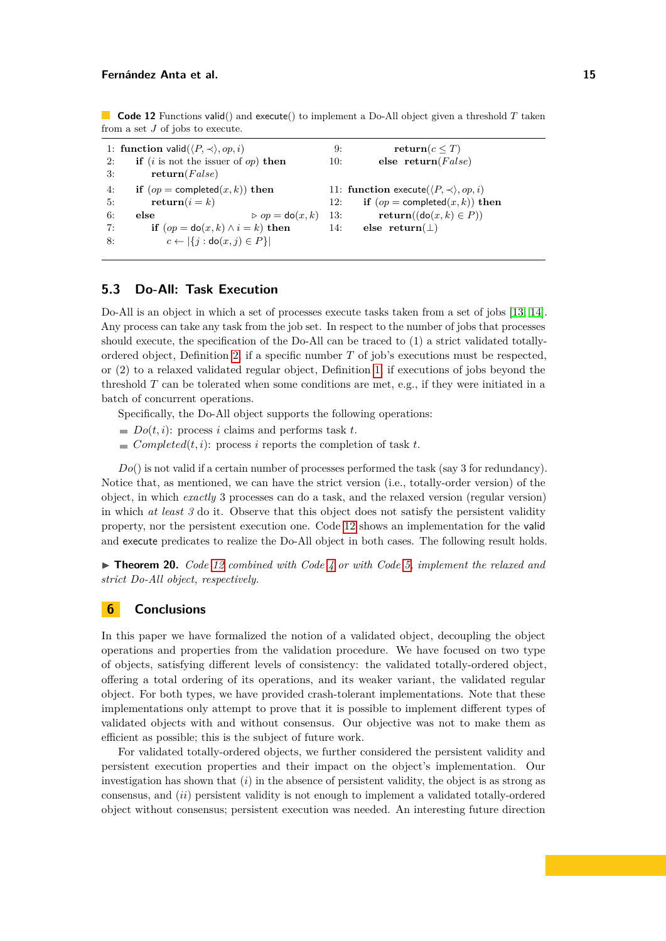<span id="page-14-0"></span>**Code 12** Functions valid() and execute() to implement a Do-All object given a threshold *T* taken from a set *J* of jobs to execute.

|    | 1: function valid $(\langle P, \prec \rangle, op, i)$      | 9:  | return( $c \leq T$ )                      |
|----|------------------------------------------------------------|-----|-------------------------------------------|
| 2: | <b>if</b> ( <i>i</i> is not the issuer of <i>op</i> ) then | 10: | else return( $False$ )                    |
| 3: | return(False)                                              |     |                                           |
| 4: | if $(op = completed(x, k))$ then                           |     | 11: function execute $(P, \prec), op, i)$ |
| 5: | $return(i = k)$                                            | 12: | if $(op = completed(x, k))$ then          |
| 6: | $\triangleright$ op = do(x, k)<br>else                     | 13: | $return((do(x, k) \in P))$                |
| 7: | if $(op = do(x, k) \wedge i = k)$ then                     | 14: | else return $(\perp)$                     |
| 8: | $c \leftarrow  \{j : \text{do}(x, j) \in P\} $             |     |                                           |

### **5.3 Do-All: Task Execution**

Do-All is an object in which a set of processes execute tasks taken from a set of jobs [\[13,](#page-15-12) [14\]](#page-16-11). Any process can take any task from the job set. In respect to the number of jobs that processes should execute, the specification of the Do-All can be traced to (1) a strict validated totallyordered object, Definition [2,](#page-4-3) if a specific number *T* of job's executions must be respected, or (2) to a relaxed validated regular object, Definition [1,](#page-4-2) if executions of jobs beyond the threshold *T* can be tolerated when some conditions are met, e.g., if they were initiated in a batch of concurrent operations.

Specifically, the Do-All object supports the following operations:

- $\blacksquare$  *Do*(*t, i*): process *i* claims and performs task *t*.
- $\blacksquare$  *Completed*(*t, i*): process *i* reports the completion of task *t*.

*Do*() is not valid if a certain number of processes performed the task (say 3 for redundancy). Notice that, as mentioned, we can have the strict version (i.e., totally-order version) of the object, in which *exactly* 3 processes can do a task, and the relaxed version (regular version) in which *at least 3* do it. Observe that this object does not satisfy the persistent validity property, nor the persistent execution one. Code [12](#page-14-0) shows an implementation for the valid and execute predicates to realize the Do-All object in both cases. The following result holds.

▶ **Theorem 20.** *Code [12](#page-14-0) combined with Code [4](#page-5-0) or with Code [5,](#page-6-1) implement the relaxed and strict Do-All object, respectively.*

### **6 Conclusions**

In this paper we have formalized the notion of a validated object, decoupling the object operations and properties from the validation procedure. We have focused on two type of objects, satisfying different levels of consistency: the validated totally-ordered object, offering a total ordering of its operations, and its weaker variant, the validated regular object. For both types, we have provided crash-tolerant implementations. Note that these implementations only attempt to prove that it is possible to implement different types of validated objects with and without consensus. Our objective was not to make them as efficient as possible; this is the subject of future work.

For validated totally-ordered objects, we further considered the persistent validity and persistent execution properties and their impact on the object's implementation. Our investigation has shown that (*i*) in the absence of persistent validity, the object is as strong as consensus, and (*ii*) persistent validity is not enough to implement a validated totally-ordered object without consensus; persistent execution was needed. An interesting future direction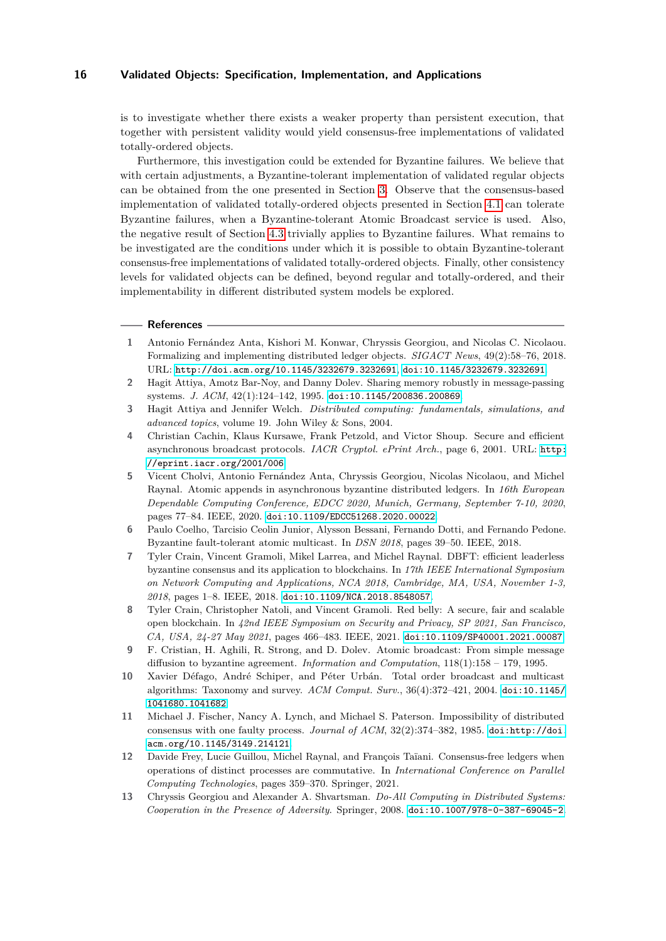is to investigate whether there exists a weaker property than persistent execution, that together with persistent validity would yield consensus-free implementations of validated totally-ordered objects.

Furthermore, this investigation could be extended for Byzantine failures. We believe that with certain adjustments, a Byzantine-tolerant implementation of validated regular objects can be obtained from the one presented in Section [3.](#page-4-0) Observe that the consensus-based implementation of validated totally-ordered objects presented in Section [4.1](#page-6-0) can tolerate Byzantine failures, when a Byzantine-tolerant Atomic Broadcast service is used. Also, the negative result of Section [4.3](#page-8-0) trivially applies to Byzantine failures. What remains to be investigated are the conditions under which it is possible to obtain Byzantine-tolerant consensus-free implementations of validated totally-ordered objects. Finally, other consistency levels for validated objects can be defined, beyond regular and totally-ordered, and their implementability in different distributed system models be explored.

#### **References**

- <span id="page-15-5"></span>**1** Antonio Fernández Anta, Kishori M. Konwar, Chryssis Georgiou, and Nicolas C. Nicolaou. Formalizing and implementing distributed ledger objects. *SIGACT News*, 49(2):58–76, 2018. URL: <http://doi.acm.org/10.1145/3232679.3232691>, [doi:10.1145/3232679.3232691](https://doi.org/10.1145/3232679.3232691).
- <span id="page-15-10"></span>**2** Hagit Attiya, Amotz Bar-Noy, and Danny Dolev. Sharing memory robustly in message-passing systems. *J. ACM*, 42(1):124–142, 1995. [doi:10.1145/200836.200869](https://doi.org/10.1145/200836.200869).
- <span id="page-15-0"></span>**3** Hagit Attiya and Jennifer Welch. *Distributed computing: fundamentals, simulations, and advanced topics*, volume 19. John Wiley & Sons, 2004.
- <span id="page-15-2"></span>**4** Christian Cachin, Klaus Kursawe, Frank Petzold, and Victor Shoup. Secure and efficient asynchronous broadcast protocols. *IACR Cryptol. ePrint Arch.*, page 6, 2001. URL: [http:](http://eprint.iacr.org/2001/006) [//eprint.iacr.org/2001/006](http://eprint.iacr.org/2001/006).
- <span id="page-15-6"></span>**5** Vicent Cholvi, Antonio Fernández Anta, Chryssis Georgiou, Nicolas Nicolaou, and Michel Raynal. Atomic appends in asynchronous byzantine distributed ledgers. In *16th European Dependable Computing Conference, EDCC 2020, Munich, Germany, September 7-10, 2020*, pages 77–84. IEEE, 2020. [doi:10.1109/EDCC51268.2020.00022](https://doi.org/10.1109/EDCC51268.2020.00022).
- <span id="page-15-8"></span>**6** Paulo Coelho, Tarcisio Ceolin Junior, Alysson Bessani, Fernando Dotti, and Fernando Pedone. Byzantine fault-tolerant atomic multicast. In *DSN 2018*, pages 39–50. IEEE, 2018.
- <span id="page-15-4"></span>**7** Tyler Crain, Vincent Gramoli, Mikel Larrea, and Michel Raynal. DBFT: efficient leaderless byzantine consensus and its application to blockchains. In *17th IEEE International Symposium on Network Computing and Applications, NCA 2018, Cambridge, MA, USA, November 1-3, 2018*, pages 1–8. IEEE, 2018. [doi:10.1109/NCA.2018.8548057](https://doi.org/10.1109/NCA.2018.8548057).
- <span id="page-15-3"></span>**8** Tyler Crain, Christopher Natoli, and Vincent Gramoli. Red belly: A secure, fair and scalable open blockchain. In *42nd IEEE Symposium on Security and Privacy, SP 2021, San Francisco, CA, USA, 24-27 May 2021*, pages 466–483. IEEE, 2021. [doi:10.1109/SP40001.2021.00087](https://doi.org/10.1109/SP40001.2021.00087).
- <span id="page-15-9"></span>**9** F. Cristian, H. Aghili, R. Strong, and D. Dolev. Atomic broadcast: From simple message diffusion to byzantine agreement. *Information and Computation*, 118(1):158 – 179, 1995.
- <span id="page-15-7"></span>**10** Xavier Défago, André Schiper, and Péter Urbán. Total order broadcast and multicast algorithms: Taxonomy and survey. *ACM Comput. Surv.*, 36(4):372–421, 2004. [doi:10.1145/](https://doi.org/10.1145/1041680.1041682) [1041680.1041682](https://doi.org/10.1145/1041680.1041682).
- <span id="page-15-11"></span>**11** Michael J. Fischer, Nancy A. Lynch, and Michael S. Paterson. Impossibility of distributed consensus with one faulty process. *Journal of ACM*,  $32(2)$ :374–382, 1985. [doi:http://doi.](https://doi.org/http://doi.acm.org/10.1145/3149.214121) [acm.org/10.1145/3149.214121](https://doi.org/http://doi.acm.org/10.1145/3149.214121).
- <span id="page-15-1"></span>**12** Davide Frey, Lucie Guillou, Michel Raynal, and François Taïani. Consensus-free ledgers when operations of distinct processes are commutative. In *International Conference on Parallel Computing Technologies*, pages 359–370. Springer, 2021.
- <span id="page-15-12"></span>**13** Chryssis Georgiou and Alexander A. Shvartsman. *Do-All Computing in Distributed Systems: Cooperation in the Presence of Adversity*. Springer, 2008. [doi:10.1007/978-0-387-69045-2](https://doi.org/10.1007/978-0-387-69045-2).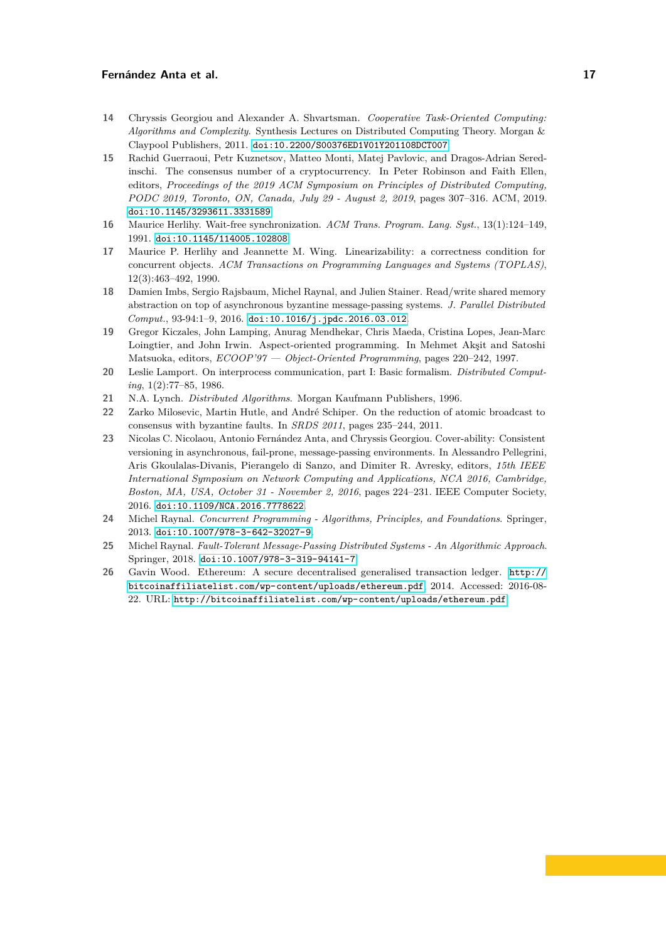- <span id="page-16-11"></span>**14** Chryssis Georgiou and Alexander A. Shvartsman. *Cooperative Task-Oriented Computing: Algorithms and Complexity*. Synthesis Lectures on Distributed Computing Theory. Morgan & Claypool Publishers, 2011. [doi:10.2200/S00376ED1V01Y201108DCT007](https://doi.org/10.2200/S00376ED1V01Y201108DCT007).
- <span id="page-16-10"></span>**15** Rachid Guerraoui, Petr Kuznetsov, Matteo Monti, Matej Pavlovic, and Dragos-Adrian Seredinschi. The consensus number of a cryptocurrency. In Peter Robinson and Faith Ellen, editors, *Proceedings of the 2019 ACM Symposium on Principles of Distributed Computing, PODC 2019, Toronto, ON, Canada, July 29 - August 2, 2019*, pages 307–316. ACM, 2019. [doi:10.1145/3293611.3331589](https://doi.org/10.1145/3293611.3331589).
- <span id="page-16-7"></span>**16** Maurice Herlihy. Wait-free synchronization. *ACM Trans. Program. Lang. Syst.*, 13(1):124–149, 1991. [doi:10.1145/114005.102808](https://doi.org/10.1145/114005.102808).
- <span id="page-16-2"></span>**17** Maurice P. Herlihy and Jeannette M. Wing. Linearizability: a correctness condition for concurrent objects. *ACM Transactions on Programming Languages and Systems (TOPLAS)*, 12(3):463–492, 1990.
- <span id="page-16-6"></span>**18** Damien Imbs, Sergio Rajsbaum, Michel Raynal, and Julien Stainer. Read/write shared memory abstraction on top of asynchronous byzantine message-passing systems. *J. Parallel Distributed Comput.*, 93-94:1–9, 2016. [doi:10.1016/j.jpdc.2016.03.012](https://doi.org/10.1016/j.jpdc.2016.03.012).
- <span id="page-16-0"></span>**19** Gregor Kiczales, John Lamping, Anurag Mendhekar, Chris Maeda, Cristina Lopes, Jean-Marc Loingtier, and John Irwin. Aspect-oriented programming. In Mehmet Akşit and Satoshi Matsuoka, editors, *ECOOP'97 — Object-Oriented Programming*, pages 220–242, 1997.
- <span id="page-16-1"></span>**20** Leslie Lamport. On interprocess communication, part I: Basic formalism. *Distributed Computing*, 1(2):77–85, 1986.
- <span id="page-16-3"></span>**21** N.A. Lynch. *Distributed Algorithms*. Morgan Kaufmann Publishers, 1996.
- <span id="page-16-9"></span>**22** Zarko Milosevic, Martin Hutle, and André Schiper. On the reduction of atomic broadcast to consensus with byzantine faults. In *SRDS 2011*, pages 235–244, 2011.
- <span id="page-16-12"></span>**23** Nicolas C. Nicolaou, Antonio Fernández Anta, and Chryssis Georgiou. Cover-ability: Consistent versioning in asynchronous, fail-prone, message-passing environments. In Alessandro Pellegrini, Aris Gkoulalas-Divanis, Pierangelo di Sanzo, and Dimiter R. Avresky, editors, *15th IEEE International Symposium on Network Computing and Applications, NCA 2016, Cambridge, Boston, MA, USA, October 31 - November 2, 2016*, pages 224–231. IEEE Computer Society, 2016. [doi:10.1109/NCA.2016.7778622](https://doi.org/10.1109/NCA.2016.7778622).
- <span id="page-16-5"></span>**24** Michel Raynal. *Concurrent Programming - Algorithms, Principles, and Foundations*. Springer, 2013. [doi:10.1007/978-3-642-32027-9](https://doi.org/10.1007/978-3-642-32027-9).
- <span id="page-16-8"></span>**25** Michel Raynal. *Fault-Tolerant Message-Passing Distributed Systems - An Algorithmic Approach*. Springer, 2018. [doi:10.1007/978-3-319-94141-7](https://doi.org/10.1007/978-3-319-94141-7).
- <span id="page-16-4"></span>**26** Gavin Wood. Ethereum: A secure decentralised generalised transaction ledger. [http://](http://bitcoinaffiliatelist.com/wp-content/uploads/ethereum.pdf) [bitcoinaffiliatelist.com/wp-content/uploads/ethereum.pdf](http://bitcoinaffiliatelist.com/wp-content/uploads/ethereum.pdf), 2014. Accessed: 2016-08- 22. URL: <http://bitcoinaffiliatelist.com/wp-content/uploads/ethereum.pdf>.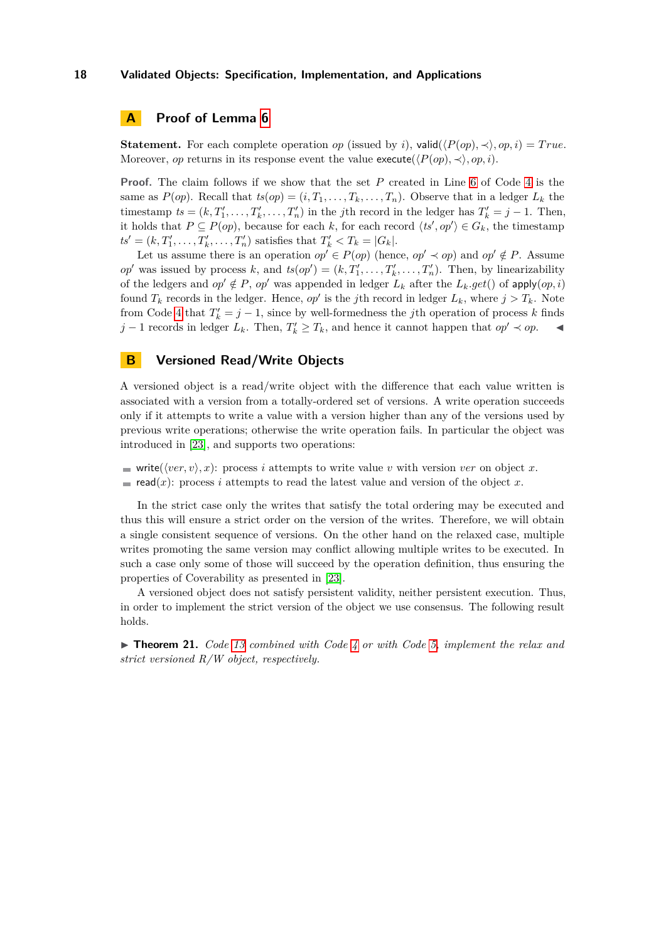### <span id="page-17-0"></span>**A Proof of Lemma [6](#page-6-2)**

**Statement.** For each complete operation *op* (issued by *i*), valid $(\langle P(\textit{op}), \prec \rangle, \textit{op}, i) = True$ . Moreover, *op* returns in its response event the value execute( $\langle P(op), \prec \rangle$ , *op*, *i*).

**Proof.** The claim follows if we show that the set *P* created in Line [6](#page-5-0) of Code [4](#page-5-0) is the same as  $P(op)$ . Recall that  $ts(op) = (i, T_1, \ldots, T_k, \ldots, T_n)$ . Observe that in a ledger  $L_k$  the timestamp  $ts = (k, T'_1, \ldots, T'_k, \ldots, T'_n)$  in the *j*th record in the ledger has  $T'_k = j - 1$ . Then, it holds that  $P \subseteq P(op)$ , because for each *k*, for each record  $\langle ts', op' \rangle \in G_k$ , the timestamp  $ts' = (k, T'_1, \ldots, T'_k, \ldots, T'_n)$  satisfies that  $T'_k < T_k = |G_k|$ .

Let us assume there is an operation  $op' \in P(op)$  (hence,  $op' \prec op$ ) and  $op' \notin P$ . Assume  $op'$  was issued by process *k*, and  $ts(op') = (k, T'_1, \ldots, T'_k, \ldots, T'_n)$ . Then, by linearizability of the ledgers and  $op' \notin P$ ,  $op'$  was appended in ledger  $L_k$  after the  $L_k.get()$  of apply $(op, i)$ found  $T_k$  records in the ledger. Hence, *op'* is the *j*th record in ledger  $L_k$ , where  $j > T_k$ . Note from Code [4](#page-5-0) that  $T'_k = j - 1$ , since by well-formedness the *j*th operation of process *k* finds *j* − 1 records in ledger  $L_k$ . Then,  $T'_k \geq T_k$ , and hence it cannot happen that  $op' \prec op$ .  $\blacktriangleleft$ 

### <span id="page-17-1"></span>**B Versioned Read/Write Objects**

A versioned object is a read/write object with the difference that each value written is associated with a version from a totally-ordered set of versions. A write operation succeeds only if it attempts to write a value with a version higher than any of the versions used by previous write operations; otherwise the write operation fails. In particular the object was introduced in [\[23\]](#page-16-12), and supports two operations:

write( $\langle ver, v \rangle, x$ ): process *i* attempts to write value *v* with version *ver* on object *x*. read(*x*): process *i* attempts to read the latest value and version of the object *x*.

In the strict case only the writes that satisfy the total ordering may be executed and thus this will ensure a strict order on the version of the writes. Therefore, we will obtain a single consistent sequence of versions. On the other hand on the relaxed case, multiple writes promoting the same version may conflict allowing multiple writes to be executed. In such a case only some of those will succeed by the operation definition, thus ensuring the properties of Coverability as presented in [\[23\]](#page-16-12).

A versioned object does not satisfy persistent validity, neither persistent execution. Thus, in order to implement the strict version of the object we use consensus. The following result holds.

I **Theorem 21.** *Code [13](#page-18-0) combined with Code [4](#page-5-0) or with Code [5,](#page-6-1) implement the relax and strict versioned R/W object, respectively.*